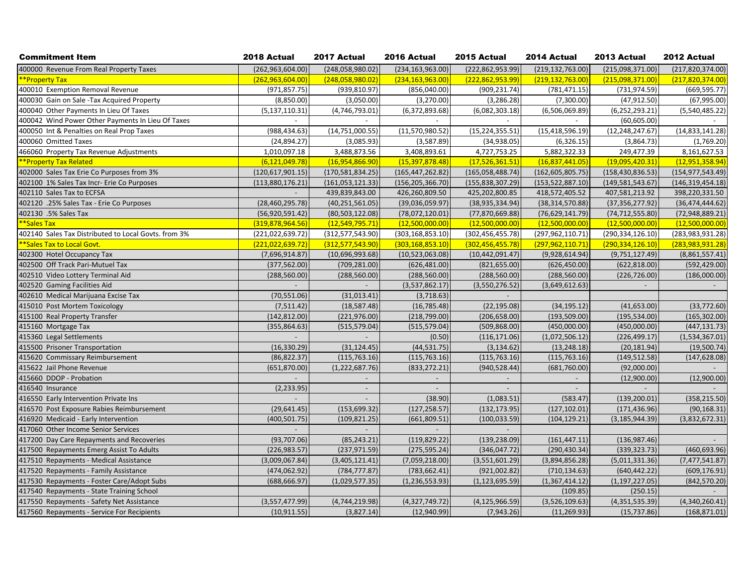| <b>Commitment Item</b>                               | 2018 Actual              | 2017 Actual        | 2016 Actual        | 2015 Actual        | 2014 Actual        | 2013 Actual              | 2012 Actual        |
|------------------------------------------------------|--------------------------|--------------------|--------------------|--------------------|--------------------|--------------------------|--------------------|
| 400000 Revenue From Real Property Taxes              | (262, 963, 604.00)       | (248,058,980.02)   | (234, 163, 963.00) | (222, 862, 953.99) | (219, 132, 763.00) | (215,098,371.00)         | (217, 820, 374.00) |
| **Property Tax                                       | (262, 963, 604.00)       | (248,058,980.02)   | (234, 163, 963.00) | (222, 862, 953.99) | (219, 132, 763.00) | (215,098,371.00)         | (217,820,374.00)   |
| 400010 Exemption Removal Revenue                     | (971, 857.75)            | (939, 810.97)      | (856,040.00)       | (909, 231.74)      | (781, 471.15)      | (731, 974.59)            | (669, 595.77)      |
| 400030 Gain on Sale - Tax Acquired Property          | (8,850.00)               | (3,050.00)         | (3,270.00)         | (3, 286.28)        | (7,300.00)         | (47, 912.50)             | (67,995.00)        |
| 400040 Other Payments In Lieu Of Taxes               | (5, 137, 110.31)         | (4,746,793.01)     | (6,372,893.68)     | (6,082,303.18)     | (6,506,069.89)     | (6, 252, 293.21)         | (5,540,485.22)     |
| 400042 Wind Power Other Payments In Lieu Of Taxes    |                          |                    |                    |                    |                    | (60, 605.00)             |                    |
| 400050 Int & Penalties on Real Prop Taxes            | (988, 434.63)            | (14, 751, 000.55)  | (11,570,980.52)    | (15, 224, 355.51)  | (15, 418, 596.19)  | (12, 248, 247.67)        | (14,833,141.28)    |
| 400060 Omitted Taxes                                 | (24, 894.27)             | (3,085.93)         | (3,587.89)         | (34,938.05)        | (6,326.15)         | (3,864.73)               | (1,769.20)         |
| 466060 Property Tax Revenue Adjustments              | 1,010,097.18             | 3,488,873.56       | 3,408,893.61       | 4,727,753.25       | 5,882,322.33       | 249,477.39               | 8,161,627.53       |
| **Property Tax Related                               | (6, 121, 049.78)         | (16,954,866.90)    | (15, 397, 878.48)  | (17,526,361.51)    | (16, 837, 441.05)  | (19,095,420.31)          | (12,951,358.94)    |
| 402000 Sales Tax Erie Co Purposes from 3%            | (120, 617, 901.15)       | (170, 581, 834.25) | (165, 447, 262.82) | (165, 058, 488.74) | (162, 605, 805.75) | (158, 430, 836.53)       | (154, 977, 543.49) |
| 402100 1% Sales Tax Incr- Erie Co Purposes           | (113,880,176.21)         | (161,053,121.33)   | (156, 205, 366.70) | (155, 838, 307.29) | (153, 522, 887.10) | (149, 581, 543.67)       | (146, 319, 454.18) |
| 402110 Sales Tax to ECFSA                            | $\overline{\phantom{a}}$ | 439,839,843.00     | 426,260,809.50     | 425,202,800.85     | 418,572,405.52     | 407,581,213.92           | 398,220,331.50     |
| 402120 .25% Sales Tax - Erie Co Purposes             | (28, 460, 295.78)        | (40, 251, 561.05)  | (39,036,059.97)    | (38, 935, 334.94)  | (38, 314, 570.88)  | (37, 356, 277.92)        | (36, 474, 444.62)  |
| 402130 .5% Sales Tax                                 | (56,920,591.42)          | (80, 503, 122.08)  | (78,072,120.01)    | (77, 870, 669.88)  | (76, 629, 141.79)  | (74, 712, 555.80)        | (72,948,889.21)    |
| **Sales Tax                                          | (319,878,964.56)         | (12,549,795.71)    | (12,500,000.00)    | (12,500,000.00)    | (12,500,000.00)    | (12,500,000.00)          | (12,500,000.00)    |
| 402140 Sales Tax Distributed to Local Govts. from 3% | (221, 022, 639.72)       | (312, 577, 543.90) | (303, 168, 853.10) | (302, 456, 455.78) | (297, 962, 110.71) | (290, 334, 126.10)       | (283,983,931.28)   |
| **Sales Tax to Local Govt.                           | (221,022,639.72)         | (312,577,543.90)   | (303, 168, 853.10) | (302, 456, 455.78) | (297, 962, 110.71) | (290, 334, 126.10)       | (283,983,931.28)   |
| 402300 Hotel Occupancy Tax                           | (7,696,914.87)           | (10,696,993.68)    | (10,523,063.08)    | (10, 442, 091.47)  | (9,928,614.94)     | (9,751,127.49)           | (8,861,557.41)     |
| 402500 Off Track Pari-Mutuel Tax                     | (377, 562.00)            | (709, 281.00)      | (626, 481.00)      | (821, 655.00)      | (626, 450.00)      | (622, 818.00)            | (592, 429.00)      |
| 402510 Video Lottery Terminal Aid                    | (288, 560.00)            | (288, 560.00)      | (288, 560.00)      | (288, 560.00)      | (288, 560.00)      | (226, 726.00)            | (186,000.00)       |
| 402520 Gaming Facilities Aid                         |                          |                    | (3,537,862.17)     | (3,550,276.52)     | (3,649,612.63)     | $\overline{\phantom{a}}$ | $\sim$             |
| 402610 Medical Marijuana Excise Tax                  | (70, 551.06)             | (31, 013.41)       | (3,718.63)         |                    |                    |                          |                    |
| 415010 Post Mortem Toxicology                        | (7,511.42)               | (18, 587.48)       | (16, 785.48)       | (22, 195.08)       | (34, 195.12)       | (41, 653.00)             | (33, 772.60)       |
| 415100 Real Property Transfer                        | (142, 812.00)            | (221, 976.00)      | (218, 799.00)      | (206, 658.00)      | (193, 509.00)      | (195, 534.00)            | (165, 302.00)      |
| 415160 Mortgage Tax                                  | (355, 864.63)            | (515, 579.04)      | (515, 579.04)      | (509, 868.00)      | (450,000.00)       | (450,000.00)             | (447, 131.73)      |
| 415360 Legal Settlements                             |                          |                    | (0.50)             | (116, 171.06)      | (1,072,506.12)     | (226, 499.17)            | (1,534,367.01)     |
| 415500 Prisoner Transportation                       | (16, 330.29)             | (31, 124.45)       | (44, 531.75)       | (3, 134.62)        | (13, 248.18)       | (20, 181.94)             | (19,500.74)        |
| 415620 Commissary Reimbursement                      | (86, 822.37)             | (115, 763.16)      | (115, 763.16)      | (115, 763.16)      | (115, 763.16)      | (149, 512.58)            | (147, 628.08)      |
| 415622 Jail Phone Revenue                            | (651, 870.00)            | (1,222,687.76)     | (833, 272.21)      | (940, 528.44)      | (681,760.00)       | (92,000.00)              |                    |
| 415660 DDOP - Probation                              |                          |                    |                    |                    |                    | (12,900.00)              | (12,900.00)        |
| 416540 Insurance                                     | (2, 233.95)              |                    |                    |                    | $\sim$             | $\overline{\phantom{a}}$ |                    |
| 416550 Early Intervention Private Ins                |                          |                    | (38.90)            | (1,083.51)         | (583.47)           | (139, 200.01)            | (358, 215.50)      |
| 416570 Post Exposure Rabies Reimbursement            | (29, 641.45)             | (153, 699.32)      | (127, 258.57)      | (132, 173.95)      | (127, 102.01)      | (171, 436.96)            | (90, 168.31)       |
| 416920 Medicaid - Early Intervention                 | (400, 501.75)            | (109, 821.25)      | (661,809.51)       | (100, 033.59)      | (104, 129.21)      | (3, 185, 944.39)         | (3,832,672.31)     |
| 417060 Other Income Senior Services                  |                          |                    |                    |                    |                    |                          |                    |
| 417200 Day Care Repayments and Recoveries            | (93,707.06)              | (85, 243.21)       | (119, 829.22)      | (139, 238.09)      | (161, 447.11)      | (136, 987.46)            |                    |
| 417500 Repayments Emerg Assist To Adults             | (226, 983.57)            | (237, 971.59)      | (275, 595.24)      | (346, 047.72)      | (290, 430.34)      | (339, 323.73)            | (460, 693.96)      |
| 417510 Repayments - Medical Assistance               | (3,009,067.84)           | (3,405,121.41)     | (7,059,218.00)     | (3,551,601.29)     | (3,894,856.28)     | (5,011,331.36)           | (7,477,541.87)     |
| 417520 Repayments - Family Assistance                | (474, 062.92)            | (784, 777.87)      | (783, 662.41)      | (921,002.82)       | (710, 134.63)      | (640, 442.22)            | (609, 176.91)      |
| 417530 Repayments - Foster Care/Adopt Subs           | (688, 666.97)            | (1,029,577.35)     | (1, 236, 553.93)   | (1, 123, 695.59)   | (1,367,414.12)     | (1, 197, 227.05)         | (842, 570.20)      |
| 417540 Repayments - State Training School            |                          |                    |                    |                    | (109.85)           | (250.15)                 |                    |
| 417550 Repayments - Safety Net Assistance            | (3,557,477.99)           | (4,744,219.98)     | (4,327,749.72)     | (4, 125, 966.59)   | (3,526,109.63)     | (4,351,535.39)           | (4,340,260.41)     |
| 417560 Repayments - Service For Recipients           | (10, 911.55)             | (3,827.14)         | (12,940.99)        | (7,943.26)         | (11, 269.93)       | (15, 737.86)             | (168, 871.01)      |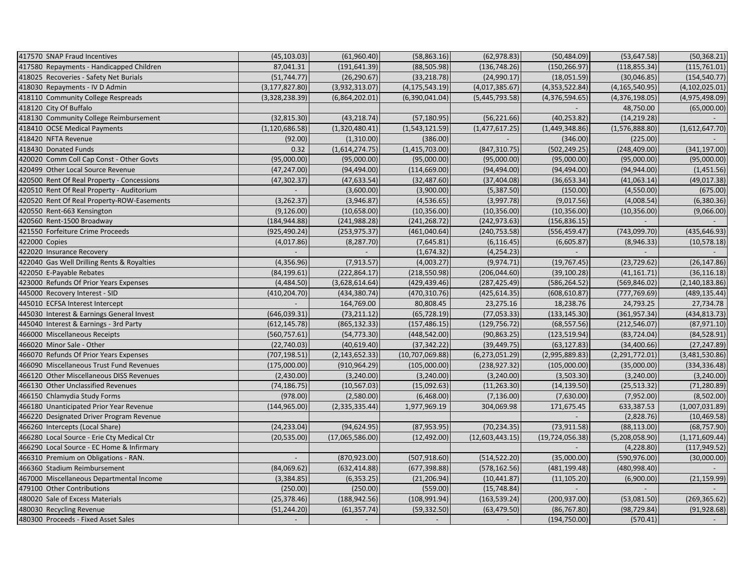| 417570 SNAP Fraud Incentives               | (45, 103.03)     | (61,960.40)      | (58, 863.16)     | (62, 978.83)     | (50, 484.09)      | (53, 647.58)     | (50, 368.21)     |
|--------------------------------------------|------------------|------------------|------------------|------------------|-------------------|------------------|------------------|
| 417580 Repayments - Handicapped Children   | 87.041.31        | (191, 641.39)    | (88, 505.98)     | (136, 748.26)    | (150, 266.97)     | (118, 855.34)    | (115, 761.01)    |
| 418025 Recoveries - Safety Net Burials     | (51, 744.77)     | (26, 290.67)     | (33, 218.78)     | (24,990.17)      | (18,051.59)       | (30,046.85)      | (154, 540.77)    |
| 418030 Repayments - IV D Admin             | (3, 177, 827.80) | (3,932,313.07)   | (4, 175, 543.19) | (4,017,385.67)   | (4,353,522.84)    | (4, 165, 540.95) | (4, 102, 025.01) |
| 418110 Community College Respreads         | (3,328,238.39)   | (6,864,202.01)   | (6,390,041.04)   | (5,445,793.58)   | (4,376,594.65)    | (4,376,198.05)   | (4,975,498.09)   |
| 418120 City Of Buffalo                     |                  |                  |                  |                  |                   | 48,750.00        | (65,000.00)      |
| 418130 Community College Reimbursement     | (32, 815.30)     | (43, 218.74)     | (57, 180.95)     | (56, 221.66)     | (40, 253.82)      | (14, 219.28)     |                  |
| 418410 OCSE Medical Payments               | (1, 120, 686.58) | (1,320,480.41)   | (1,543,121.59)   | (1, 477, 617.25) | (1,449,348.86)    | (1,576,888.80)   | (1,612,647.70)   |
| 418420 NFTA Revenue                        | (92.00)          | (1,310.00)       | (386.00)         |                  | (346.00)          | (225.00)         |                  |
| 418430 Donated Funds                       | 0.32             | (1,614,274.75)   | (1,415,703.00)   | (847, 310.75)    | (502, 249.25)     | (248, 409.00)    | (341, 197.00)    |
| 420020 Comm Coll Cap Const - Other Govts   | (95,000.00)      | (95,000.00)      | (95,000.00)      | (95,000.00)      | (95,000.00)       | (95,000.00)      | (95,000.00)      |
| 420499 Other Local Source Revenue          | (47, 247.00)     | (94, 494.00)     | (114, 669.00)    | (94, 494.00)     | (94, 494.00)      | (94, 944.00)     | (1,451.56)       |
| 420500 Rent Of Real Property - Concessions | (47, 302.37)     | (47, 633.54)     | (32, 487.60)     | (37, 404.08)     | (36, 653.34)      | (41,063.14)      | (49,017.38)      |
| 420510 Rent Of Real Property - Auditorium  |                  | (3,600.00)       | (3,900.00)       | (5,387.50)       | (150.00)          | (4,550.00)       | (675.00)         |
| 420520 Rent Of Real Property-ROW-Easements | (3, 262.37)      | (3,946.87)       | (4,536.65)       | (3,997.78)       | (9,017.56)        | (4,008.54)       | (6,380.36)       |
| 420550 Rent-663 Kensington                 | (9, 126.00)      | (10,658.00)      | (10, 356.00)     | (10, 356.00)     | (10, 356.00)      | (10, 356.00)     | (9,066.00)       |
| 420560 Rent-1500 Broadway                  | (184, 944.88)    | (241, 988.28)    | (241, 268.72)    | (242, 973.63)    | (156, 836.15)     |                  |                  |
| 421550 Forfeiture Crime Proceeds           | (925, 490.24)    | (253, 975.37)    | (461,040.64)     | (240, 753.58)    | (556, 459.47)     | (743, 099.70)    | (435, 646.93)    |
| 422000 Copies                              | (4,017.86)       | (8, 287.70)      | (7,645.81)       | (6, 116.45)      | (6,605.87)        | (8,946.33)       | (10, 578.18)     |
| 422020 Insurance Recovery                  |                  |                  | (1,674.32)       | (4, 254.23)      |                   |                  |                  |
| 422040 Gas Well Drilling Rents & Royalties | (4,356.96)       | (7, 913.57)      | (4,003.27)       | (9,974.71)       | (19, 767.45)      | (23, 729.62)     | (26, 147.86)     |
| 422050 E-Payable Rebates                   | (84, 199.61)     | (222, 864.17)    | (218, 550.98)    | (206, 044.60)    | (39, 100.28)      | (41, 161.71)     | (36, 116.18)     |
| 423000 Refunds Of Prior Years Expenses     | (4,484.50)       | (3,628,614.64)   | (429, 439.46)    | (287, 425.49)    | (586, 264.52)     | (569, 846.02)    | (2, 140, 183.86) |
| 445000 Recovery Interest - SID             | (410, 204.70)    | (434, 380.74)    | (470, 310.76)    | (425, 614.35)    | (608, 610.87)     | (777, 769.69)    | (489, 135.44)    |
| 445010 ECFSA Interest Intercept            |                  | 164,769.00       | 80,808.45        | 23,275.16        | 18,238.76         | 24,793.25        | 27,734.78        |
| 445030 Interest & Earnings General Invest  | (646, 039.31)    | (73, 211.12)     | (65, 728.19)     | (77,053.33)      | (133, 145.30)     | (361, 957.34)    | (434, 813.73)    |
| 445040 Interest & Earnings - 3rd Party     | (612, 145.78)    | (865, 132.33)    | (157, 486.15)    | (129, 756.72)    | (68, 557.56)      | (212, 546.07)    | (87, 971.10)     |
| 466000 Miscellaneous Receipts              | (560, 757.61)    | (54, 773.30)     | (448, 542.00)    | (90, 863.25)     | (123, 519.94)     | (83, 724.04)     | (84, 528.91)     |
| 466020 Minor Sale - Other                  | (22,740.03)      | (40, 619.40)     | (37, 342.22)     | (39, 449.75)     | (63, 127.83)      | (34, 400.66)     | (27, 247.89)     |
| 466070 Refunds Of Prior Years Expenses     | (707, 198.51)    | (2, 143, 652.33) | (10,707,069.88)  | (6, 273, 051.29) | (2,995,889.83)    | (2,291,772.01)   | (3,481,530.86)   |
| 466090 Miscellaneous Trust Fund Revenues   | (175,000.00)     | (910, 964.29)    | (105,000.00)     | (238, 927.32)    | (105,000.00)      | (35,000.00)      | (334, 336.48)    |
| 466120 Other Miscellaneous DISS Revenues   | (2,430.00)       | (3,240.00)       | (3,240.00)       | (3,240.00)       | (3,503.30)        | (3,240.00)       | (3,240.00)       |
| 466130 Other Unclassified Revenues         | (74, 186.75)     | (10, 567.03)     | (15,092.63)      | (11, 263.30)     | (14, 139.50)      | (25, 513.32)     | (71, 280.89)     |
| 466150 Chlamydia Study Forms               | (978.00)         | (2,580.00)       | (6,468.00)       | (7, 136.00)      | (7,630.00)        | (7,952.00)       | (8,502.00)       |
| 466180 Unanticipated Prior Year Revenue    | (144, 965.00)    | (2,335,335.44)   | 1,977,969.19     | 304,069.98       | 171,675.45        | 633,387.53       | (1,007,031.89)   |
| 466220 Designated Driver Program Revenue   |                  |                  |                  |                  |                   | (2,828.76)       | (10, 469.58)     |
| 466260 Intercepts (Local Share)            | (24, 233.04)     | (94, 624.95)     | (87, 953.95)     | (70, 234.35)     | (73, 911.58)      | (88, 113.00)     | (68, 757.90)     |
| 466280 Local Source - Erie Cty Medical Ctr | (20, 535.00)     | (17,065,586.00)  | (12, 492.00)     | (12,603,443.15)  | (19, 724, 056.38) | (5,208,058.90)   | (1, 171, 609.44) |
| 466290 Local Source - EC Home & Infirmary  |                  |                  |                  |                  |                   | (4, 228.80)      | (117, 949.52)    |
| 466310 Premium on Obligations - RAN.       |                  | (870, 923.00)    | (507, 918.60)    | (514, 522.20)    | (35,000.00)       | (590, 976.00)    | (30,000.00)      |
| 466360 Stadium Reimbursement               | (84,069.62)      | (632, 414.88)    | (677, 398.88)    | (578, 162.56)    | (481, 199.48)     | (480, 998.40)    |                  |
| 467000 Miscellaneous Departmental Income   | (3,384.85)       | (6, 353.25)      | (21, 206.94)     | (10, 441.87)     | (11, 105.20)      | (6,900.00)       | (21, 159.99)     |
| 479100 Other Contributions                 | (250.00)         | (250.00)         | (559.00)         | (15,748.84)      |                   |                  |                  |
| 480020 Sale of Excess Materials            | (25, 378.46)     | (188, 942.56)    | (108,991.94)     | (163, 539.24)    | (200, 937.00)     | (53,081.50)      | (269, 365.62)    |
| 480030 Recycling Revenue                   | (51, 244.20)     | (61, 357.74)     | (59, 332.50)     | (63, 479.50)     | (86, 767.80)      | (98, 729.84)     | (91, 928.68)     |
| 480300 Proceeds - Fixed Asset Sales        | $\blacksquare$   |                  |                  |                  | (194, 750.00)     | (570.41)         |                  |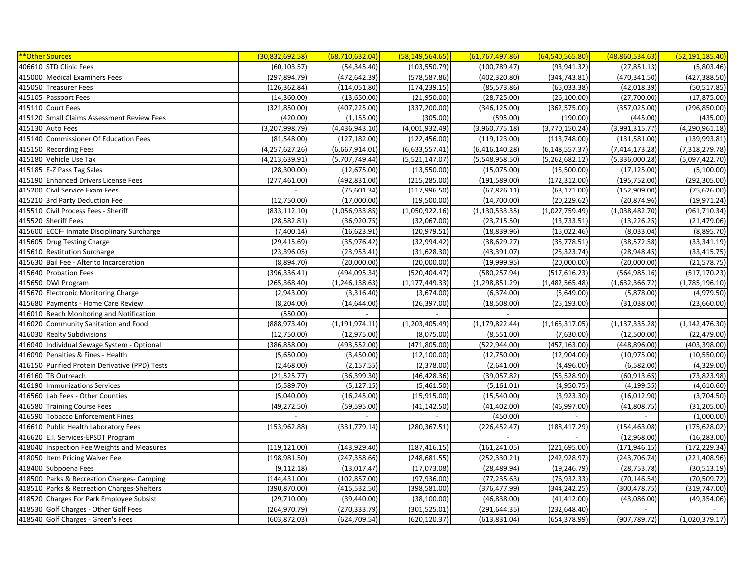| ** Other Sources                               | (30,832,692.58)  | (68, 710, 632.04) | (58, 149, 564.65) | (61, 767, 497.86) | (64, 540, 565.80)        | (48,860,534.63)  | (52, 191, 185.40) |
|------------------------------------------------|------------------|-------------------|-------------------|-------------------|--------------------------|------------------|-------------------|
| 406610 STD Clinic Fees                         | (60, 103.57)     | (54, 345.40)      | (103, 550.79)     | (100, 789.47)     | (93, 941.32)             | (27, 851.13)     | (5,803.46)        |
| 415000 Medical Examiners Fees                  | (297, 894.79)    | (472, 642.39)     | (578, 587.86)     | (402, 320.80)     | (344, 743.81)            | (470, 341.50)    | (427, 388.50)     |
| 415050 Treasurer Fees                          | (126, 362.84)    | (114, 051.80)     | (174, 239.15)     | (85, 573.86)      | (65,033.38)              | (42, 018.39)     | (50, 517.85)      |
| 415105 Passport Fees                           | (14,360.00)      | (13,650.00)       | (21,950.00)       | (28, 725.00)      | (26, 100.00)             | (27,700.00)      | (17, 875.00)      |
| 415110 Court Fees                              | (321, 850.00)    | (407, 225.00)     | (337, 200.00)     | (346, 125.00)     | (362, 575.00)            | (357, 025.00)    | (296, 850.00)     |
| 415120 Small Claims Assessment Review Fees     | (420.00)         | (1, 155.00)       | (305.00)          | (595.00)          | (190.00)                 | (445.00)         | (435.00)          |
| 415130 Auto Fees                               | (3,207,998.79)   | (4,436,943.10)    | (4,001,932.49)    | (3,960,775.18)    | (3,770,150.24)           | (3,991,315.77)   | (4,290,961.18)    |
| 415140 Commissioner Of Education Fees          | (81,548.00)      | (127, 182.00)     | (122, 456.00)     | (119, 123.00)     | (113,748.00)             | (131,581.00)     | (139, 993.81)     |
| 415150 Recording Fees                          | (4, 257, 627.26) | (6,667,914.01)    | (6,633,557.41)    | (6,416,140.28)    | (6, 148, 557.37)         | (7,414,173.28)   | (7,318,279.78)    |
| 415180 Vehicle Use Tax                         | (4, 213, 639.91) | (5,707,749.44)    | (5,521,147.07)    | (5,548,958.50)    | (5,262,682.12)           | (5,336,000.28)   | (5,097,422.70)    |
| 415185 E-Z Pass Tag Sales                      | (28, 300.00)     | (12, 675.00)      | (13,550.00)       | (15,075.00)       | (15,500.00)              | (17, 125.00)     | (5,100.00)        |
| 415190 Enhanced Drivers License Fees           | (277, 461.00)    | (492, 831.00)     | (215, 285.00)     | (191, 589.00)     | (172, 312.00)            | (195, 752.00)    | (292, 305.00)     |
| 415200 Civil Service Exam Fees                 |                  | (75,601.34)       | (117, 996.50)     | (67, 826.11)      | (63, 171.00)             | (152,909.00)     | (75,626.00)       |
| 415210 3rd Party Deduction Fee                 | (12,750.00)      | (17,000.00)       | (19,500.00)       | (14,700.00)       | (20, 229.62)             | (20, 874.96)     | (19, 971.24)      |
| 415510 Civil Process Fees - Sheriff            | (833, 112.10)    | (1,056,933.85)    | (1,050,922.16)    | (1, 130, 533.35)  | (1,027,759.49)           | (1,038,482.70)   | (961, 710.34)     |
| 415520 Sheriff Fees                            | (28, 582.81)     | (36,920.75)       | (32,067.00)       | (23, 715.50)      | (13, 733.51)             | (13, 226.25)     | (21, 479.06)      |
| 415600 ECCF- Inmate Disciplinary Surcharge     | (7,400.14)       | (16, 623.91)      | (20, 979.51)      | (18, 839.96)      | (15,022.46)              | (8,033.04)       | (8,895.70)        |
| 415605 Drug Testing Charge                     | (29, 415.69)     | (35, 976.42)      | (32,994.42)       | (38, 629.27)      | (35, 778.51)             | (38, 572.58)     | (33, 341.19)      |
| 415610 Restitution Surcharge                   | (23, 396.05)     | (23,953.41)       | (31, 628.30)      | (43, 391.07)      | (25, 323.74)             | (28,948.45)      | (33, 415.75)      |
| 415630 Bail Fee - Alter to Incarceration       | (8,894.70)       | (20,000.00)       | (20,000.00)       | (19,999.95)       | (20,000.00)              | (20,000.00)      | (21, 578.75)      |
| 415640 Probation Fees                          | (396, 336.41)    | (494, 095.34)     | (520, 404.47)     | (580, 257.94)     | (517, 616.23)            | (564, 985.16)    | (517, 170.23)     |
| 415650 DWI Program                             | (265, 368.40)    | (1, 246, 138.63)  | (1, 177, 449.33)  | (1,298,851.29)    | (1,482,565.48)           | (1,632,366.72)   | (1,785,196.10)    |
| 415670 Electronic Monitoring Charge            | (2,943.00)       | (3,316.40)        | (3,674.00)        | (6,374.00)        | (5,649.00)               | (5,878.00)       | (4,979.50)        |
| 415680 Payments - Home Care Review             | (8, 204.00)      | (14, 644.00)      | (26, 397.00)      | (18,508.00)       | (25, 193.00)             | (31,038.00)      | (23,660.00)       |
| 416010 Beach Monitoring and Notification       | (550.00)         |                   |                   |                   |                          |                  |                   |
| 416020 Community Sanitation and Food           | (888, 973.40)    | (1, 191, 974.11)  | (1,203,405.49)    | (1, 179, 822.44)  | (1, 165, 317.05)         | (1, 137, 335.28) | (1, 142, 476.30)  |
| 416030 Realty Subdivisions                     | (12,750.00)      | (12, 975.00)      | (8,075.00)        | (8,551.00)        | (7,630.00)               | (12,500.00)      | (22, 479.00)      |
| 416040 Individual Sewage System - Optional     | (386, 858.00)    | (493, 552.00)     | (471, 805.00)     | (522, 944.00)     | (457, 163.00)            | (448, 896.00)    | (403, 398.00)     |
| 416090 Penalties & Fines - Health              | (5,650.00)       | (3,450.00)        | (12, 100.00)      | (12,750.00)       | (12,904.00)              | (10,975.00)      | (10, 550.00)      |
| 416150 Purified Protein Derivative (PPD) Tests | (2,468.00)       | (2, 157.55)       | (2,378.00)        | (2,641.00)        | (4,496.00)               | (6,582.00)       | (4,329.00)        |
| 416160 TB Outreach                             | (21, 525.77)     | (36, 399.30)      | (46, 428.36)      | (39,057.82)       | (55, 528.90)             | (60, 913.65)     | (73, 823.98)      |
| 416190 Immunizations Services                  | (5,589.70)       | (5, 127.15)       | (5,461.50)        | (5, 161.01)       | (4,950.75)               | (4, 199.55)      | (4,610.60)        |
| 416560 Lab Fees - Other Counties               | (5,040.00)       | (16, 245.00)      | (15, 915.00)      | (15,540.00)       | (3,923.30)               | (16,012.90)      | (3,704.50)        |
| 416580 Training Course Fees                    | (49, 272.50)     | (59, 595.00)      | (41, 142.50)      | (41, 402.00)      | (46,997.00)              | (41,808.75)      | (31, 205.00)      |
| 416590 Tobacco Enforcement Fines               | $\overline{a}$   | $\sim$            | $\sim$            | (450.00)          | $\overline{\phantom{a}}$ | $\sim$           | (1,000.00)        |
| 416610 Public Health Laboratory Fees           | (153, 962.88)    | (331, 779.14)     | (280, 367.51)     | (226, 452.47)     | (188, 417.29)            | (154, 463.08)    | (175, 628.02)     |
| 416620 E.I. Services-EPSDT Program             |                  |                   |                   |                   |                          | (12,968.00)      | (16, 283.00)      |
| 418040 Inspection Fee Weights and Measures     | (119, 121.00)    | (143, 929.40)     | (187, 416.15)     | (161, 241.05)     | (221, 695.00)            | (171, 946.15)    | (172, 229.34)     |
| 418050 Item Pricing Waiver Fee                 | (198, 981.50)    | (247, 358.66)     | (248, 681.55)     | (252, 330.21)     | (242, 928.97)            | (243, 706.74)    | (221, 408.96)     |
| 418400 Subpoena Fees                           | (9, 112.18)      | (13,017.47)       | (17,073.08)       | (28, 489.94)      | (19, 246.79)             | (28, 753.78)     | (30,513.19)       |
| 418500 Parks & Recreation Charges- Camping     | (144, 431.00)    | (102, 857.00)     | (97, 936.00)      | (77, 235.63)      | (76, 932.33)             | (70, 146.54)     | (70, 509.72)      |
| 418510 Parks & Recreation Charges-Shelters     | (390, 870.00)    | (415, 532.50)     | (398, 581.00)     | (376, 477.99)     | (344, 242.25)            | (300, 478.75)    | (319,747.00)      |
| 418520 Charges For Park Employee Subsist       | (29,710.00)      | (39, 440.00)      | (38, 100.00)      | (46,838.00)       | (41, 412.00)             | (43,086.00)      | (49, 354.06)      |
| 418530 Golf Charges - Other Golf Fees          | (264, 970.79)    | (270, 333.79)     | (301, 525.01)     | (291, 644.35)     | (232, 648.40)            |                  |                   |
| 418540 Golf Charges - Green's Fees             | (603, 872.03)    | (624, 709.54)     | (620, 120.37)     | (613, 831.04)     | (654, 378.99)            | (907, 789.72)    | (1,020,379.17)    |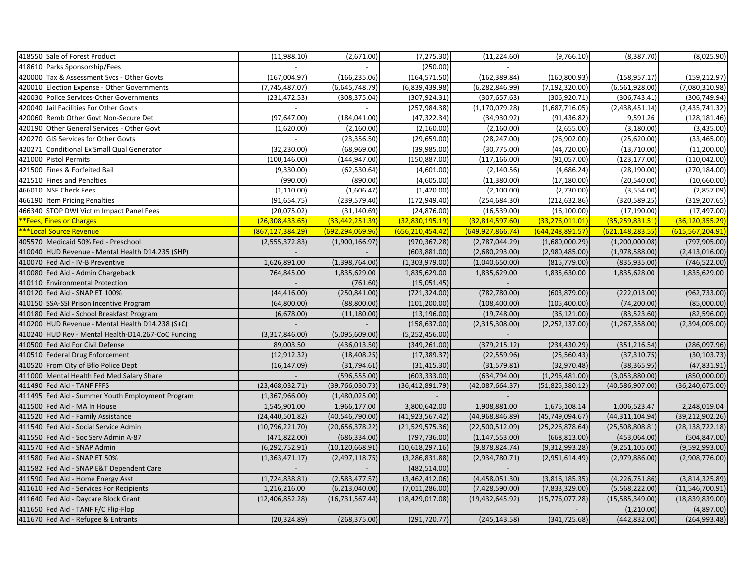| 418550 Sale of Forest Product                      | (11,988.10)        | (2,671.00)         | (7, 275.30)         | (11, 224.60)             | (9,766.10)         | (8,387.70)         | (8,025.90)         |
|----------------------------------------------------|--------------------|--------------------|---------------------|--------------------------|--------------------|--------------------|--------------------|
| 418610 Parks Sponsorship/Fees                      |                    |                    | (250.00)            |                          |                    |                    |                    |
| 420000 Tax & Assessment Svcs - Other Govts         | (167,004.97)       | (166, 235.06)      | (164, 571.50)       | (162, 389.84)            | (160, 800.93)      | (158, 957.17)      | (159, 212.97)      |
| 420010 Election Expense - Other Governments        | (7,745,487.07)     | (6,645,748.79)     | (6,839,439.98)      | (6, 282, 846.99)         | (7, 192, 320.00)   | (6,561,928.00)     | (7,080,310.98)     |
| 420030 Police Services-Other Governments           | (231, 472.53)      | (308, 375.04)      | (307, 924.31)       | (307, 657.63)            | (306, 920.71)      | (306, 743.41)      | (306, 749.94)      |
| 420040 Jail Facilities For Other Govts             |                    |                    | (257, 984.38)       | (1, 170, 079.28)         | (1,687,716.05)     | (2,438,451.14)     | (2,435,741.32)     |
| 420060 Remb Other Govt Non-Secure Det              | (97, 647.00)       | (184, 041.00)      | (47, 322.34)        | (34,930.92)              | (91, 436.82)       | 9,591.26           | (128, 181.46)      |
| 420190 Other General Services - Other Govt         | (1,620.00)         | (2,160.00)         | (2,160.00)          | (2,160.00)               | (2,655.00)         | (3, 180.00)        | (3,435.00)         |
| 420270 GIS Services for Other Govts                | $\sim$             | (23, 356.50)       | (29,659.00)         | (28, 247.00)             | (26,902.00)        | (25,620.00)        | (33, 465.00)       |
| 420271 Conditional Ex Small Qual Generator         | (32, 230.00)       | (68,969.00)        | (39,985.00)         | (30,775.00)              | (44, 720.00)       | (13,710.00)        | (11,200.00)        |
| 421000 Pistol Permits                              | (100, 146.00)      | (144, 947.00)      | (150, 887.00)       | (117, 166.00)            | (91,057.00)        | (123, 177.00)      | (110, 042.00)      |
| 421500 Fines & Forfeited Bail                      | (9,330.00)         | (62, 530.64)       | (4,601.00)          | (2, 140.56)              | (4,686.24)         | (28, 190.00)       | (270, 184.00)      |
| 421510 Fines and Penalties                         | (990.00)           | (890.00)           | (4,605.00)          | (11,380.00)              | (17, 180.00)       | (20, 540.00)       | (10,660.00)        |
| 466010 NSF Check Fees                              | (1, 110.00)        | (1,606.47)         | (1,420.00)          | (2,100.00)               | (2,730.00)         | (3,554.00)         | (2,857.09)         |
| 466190 Item Pricing Penalties                      | (91, 654.75)       | (239, 579.40)      | (172, 949.40)       | (254, 684.30)            | (212, 632.86)      | (320, 589.25)      | (319, 207.65)      |
| 466340 STOP DWI Victim Impact Panel Fees           | (20,075.02)        | (31, 140.69)       | (24, 876.00)        | (16,539.00)              | (16, 100.00)       | (17, 190.00)       | (17, 497.00)       |
| **Fees, Fines or Charges                           | (26, 308, 433.65)  | (33, 442, 251.39)  | (32,830,195.19)     | (32,814,597.60)          | (33, 276, 011.01)  | (35, 259, 831.51)  | (36, 120, 355.29)  |
| ***Local Source Revenue                            | (867, 127, 384.29) | (692, 294, 069.96) | (656, 210, 454, 42) | (649, 927, 866.74)       | (644, 248, 891.57) | (621, 148, 283.55) | (615, 567, 204.91) |
| 405570 Medicaid 50% Fed - Preschool                | (2,555,372.83)     | (1,900,166.97)     | (970, 367.28)       | (2,787,044.29)           | (1,680,000.29)     | (1,200,000.08)     | (797, 905.00)      |
| 410040 HUD Revenue - Mental Health D14.235 (SHP)   |                    |                    | (603, 881.00)       | (2,680,293.00)           | (2,980,485.00)     | (1,978,588.00)     | (2,413,016.00)     |
| 410070 Fed Aid - IV-B Preventive                   | 1,626,891.00       | (1,398,764.00)     | (1,303,979.00)      | (1,040,650.00)           | (815,779.00)       | (835, 935.00)      | (746, 522.00)      |
| 410080 Fed Aid - Admin Chargeback                  | 764,845.00         | 1,835,629.00       | 1,835,629.00        | 1,835,629.00             | 1,835,630.00       | 1,835,628.00       | 1,835,629.00       |
| 410110 Environmental Protection                    |                    | (761.60)           | (15,051.45)         |                          |                    |                    |                    |
| 410120 Fed Aid - SNAP ET 100%                      | (44, 416.00)       | (250, 841.00)      | (721, 324.00)       | (782, 780.00)            | (603, 879.00)      | (222, 013.00)      | (962, 733.00)      |
| 410150 SSA-SSI Prison Incentive Program            | (64,800.00)        | (88, 800.00)       | (101, 200.00)       | (108, 400.00)            | (105, 400.00)      | (74, 200.00)       | (85,000.00)        |
| 410180 Fed Aid - School Breakfast Program          | (6,678.00)         | (11, 180.00)       | (13, 196.00)        | (19,748.00)              | (36, 121.00)       | (83, 523.60)       | (82,596.00)        |
| 410200 HUD Revenue - Mental Health D14.238 (S+C)   |                    |                    | (158, 637.00)       | (2,315,308.00)           | (2,252,137.00)     | (1, 267, 358.00)   | (2,394,005.00)     |
| 410240 HUD Rev - Mental Health-D14.267-CoC Funding | (3,317,846.00)     | (5,095,609.00)     | (5,252,456.00)      |                          |                    |                    |                    |
| 410500 Fed Aid For Civil Defense                   | 89,003.50          | (436, 013.50)      | (349, 261.00)       | (379, 215.12)            | (234, 430.29)      | (351, 216.54)      | (286,097.96)       |
| 410510 Federal Drug Enforcement                    | (12, 912.32)       | (18, 408.25)       | (17, 389.37)        | (22, 559.96)             | (25,560.43)        | (37, 310.75)       | (30, 103.73)       |
| 410520 From City of Bflo Police Dept               | (16, 147.09)       | (31,794.61)        | (31, 415.30)        | (31,579.81)              | (32,970.48)        | (38, 365.95)       | (47, 831.91)       |
| 411000 Mental Health Fed Med Salary Share          |                    | (596, 555.00)      | (603, 333.00)       | (634, 794.00)            | (1,296,481.00)     | (3,053,880.00)     | (850,000.00)       |
| 411490 Fed Aid - TANF FFFS                         | (23, 468, 032.71)  | (39, 766, 030.73)  | (36, 412, 891.79)   | (42,087,664.37)          | (51, 825, 380.12)  | (40, 586, 907.00)  | (36, 240, 675.00)  |
| 411495 Fed Aid - Summer Youth Employment Program   | (1,367,966.00)     | (1,480,025.00)     |                     | $\overline{\phantom{a}}$ |                    |                    |                    |
| 411500 Fed Aid - MA In House                       | 1,545,901.00       | 1,966,177.00       | 3,800,642.00        | 1,908,881.00             | 1,675,108.14       | 1,006,523.47       | 2,248,019.04       |
| 411520 Fed Aid - Family Assistance                 | (24, 440, 501.82)  | (40, 546, 790.00)  | (41, 923, 567.42)   | (44,968,846.89)          | (45, 749, 094.67)  | (44, 311, 104.94)  | (39, 212, 902.26)  |
| 411540 Fed Aid - Social Service Admin              | (10, 796, 221.70)  | (20, 656, 378.22)  | (21,529,575.36)     | (22,500,512.09)          | (25, 226, 878.64)  | (25,508,808.81)    | (28, 138, 722.18)  |
| 411550 Fed Aid - Soc Serv Admin A-87               | (471, 822.00)      | (686, 334.00)      | (797, 736.00)       | (1, 147, 553.00)         | (668, 813.00)      | (453,064.00)       | (504, 847.00)      |
| 411570 Fed Aid - SNAP Admin                        | (6, 292, 752.91)   | (10, 120, 668.91)  | (10,618,297.16)     | (9,878,824.74)           | (9,312,993.28)     | (9,251,105.00)     | (9,592,993.00)     |
| 411580 Fed Aid - SNAP ET 50%                       | (1,363,471.17)     | (2,497,118.75)     | (3, 286, 831.88)    | (2,934,780.71)           | (2,951,614.49)     | (2,979,886.00)     | (2,908,776.00)     |
| 411582 Fed Aid - SNAP E&T Dependent Care           |                    |                    | (482, 514.00)       |                          |                    |                    |                    |
| 411590 Fed Aid - Home Energy Asst                  | (1,724,838.81)     | (2,583,477.57)     | (3,462,412.06)      | (4,458,051.30)           | (3,816,185.35)     | (4, 226, 751.86)   | (3,814,325.89)     |
| 411610 Fed Aid - Services For Recipients           | 1,216,216.00       | (6, 213, 040.00)   | (7,011,286.00)      | (7,428,590.00)           | (7,833,329.00)     | (5,568,222.00)     | (11,546,700.91)    |
| 411640 Fed Aid - Daycare Block Grant               | (12, 406, 852.28)  | (16, 731, 567.44)  | (18, 429, 017.08)   | (19, 432, 645.92)        | (15,776,077.28)    | (15,585,349.00)    | (18,839,839.00)    |
| 411650 Fed Aid - TANF F/C Flip-Flop                |                    |                    |                     |                          |                    | (1,210.00)         | (4,897.00)         |
| 411670 Fed Aid - Refugee & Entrants                | (20, 324.89)       | (268, 375.00)      | (291, 720.77)       | (245, 143.58)            | (341, 725.68)      | (442, 832.00)      | (264, 993.48)      |
|                                                    |                    |                    |                     |                          |                    |                    |                    |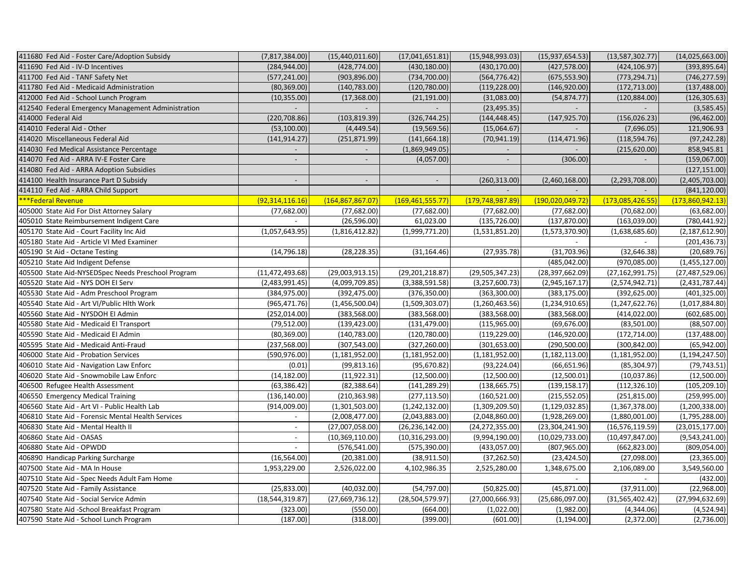| 411680 Fed Aid - Foster Care/Adoption Subsidy      | (7, 817, 384.00)         | (15,440,011.60)    | (17,041,651.81)          | (15,948,993.03)    | (15, 937, 654.53)   | (13,587,302.77)   | (14,025,663.00)   |
|----------------------------------------------------|--------------------------|--------------------|--------------------------|--------------------|---------------------|-------------------|-------------------|
| 411690 Fed Aid - IV-D Incentives                   | (284, 944.00)            | (428, 774.00)      | (430, 180.00)            | (430, 170.00)      | (427, 578.00)       | (424, 106.97)     | (393, 895.64)     |
| 411700 Fed Aid - TANF Safety Net                   | (577, 241.00)            | (903, 896.00)      | (734, 700.00)            | (564, 776.42)      | (675, 553.90)       | (773, 294.71)     | (746, 277.59)     |
| 411780 Fed Aid - Medicaid Administration           | (80, 369.00)             | (140, 783.00)      | (120, 780.00)            | (119, 228.00)      | (146, 920.00)       | (172, 713.00)     | (137, 488.00)     |
| 412000 Fed Aid - School Lunch Program              | (10, 355.00)             | (17, 368.00)       | (21, 191.00)             | (31,083.00)        | (54, 874.77)        | (120, 884.00)     | (126, 305.63)     |
| 412540 Federal Emergency Management Administration | $\mathcal{L}$            |                    |                          | (23, 495.35)       |                     |                   | (3,585.45)        |
| 414000 Federal Aid                                 | (220, 708.86)            | (103, 819.39)      | (326, 744.25)            | (144, 448.45)      | (147, 925.70)       | (156, 026.23)     | (96, 462.00)      |
| 414010 Federal Aid - Other                         | (53, 100.00)             | (4,449.54)         | (19, 569.56)             | (15,064.67)        |                     | (7,696.05)        | 121,906.93        |
| 414020 Miscellaneous Federal Aid                   | (141, 914.27)            | (251, 871.99)      | (141, 664.18)            | (70, 941.19)       | (114, 471.96)       | (118, 594.76)     | (97, 242.28)      |
| 414030 Fed Medical Assistance Percentage           |                          |                    | (1,869,949.05)           |                    |                     | (215, 620.00)     | 858,945.81        |
| 414070 Fed Aid - ARRA IV-E Foster Care             |                          |                    | (4,057.00)               |                    | (306.00)            |                   | (159,067.00)      |
| 414080 Fed Aid - ARRA Adoption Subsidies           |                          |                    |                          |                    |                     |                   | (127, 151.00)     |
| 414100 Health Insurance Part D Subsidy             | $\overline{\phantom{a}}$ |                    | $\overline{\phantom{a}}$ | (260, 313.00)      | (2,460,168.00)      | (2, 293, 708.00)  | (2,405,703.00)    |
| 414110 Fed Aid - ARRA Child Support                |                          |                    |                          |                    | $\sim$              |                   | (841, 120.00)     |
| ***Federal Revenue                                 | (92, 314, 116.16)        | (164, 867, 867.07) | (169, 461, 555.77)       | (179, 748, 987.89) | (190, 020, 049, 72) | (173,085,426.55)  | (173,860,942.13)  |
| 405000 State Aid For Dist Attorney Salary          | (77,682.00)              | (77,682.00)        | (77,682.00)              | (77,682.00)        | (77,682.00)         | (70,682.00)       | (63, 682.00)      |
| 405010 State Reimbursement Indigent Care           | $\sim$                   | (26, 596.00)       | 61,023.00                | (135, 726.00)      | (137, 870.00)       | (163, 039.00)     | (780, 441.92)     |
| 405170 State Aid - Court Facility Inc Aid          | (1,057,643.95)           | (1,816,412.82)     | (1,999,771.20)           | (1,531,851.20)     | (1,573,370.90)      | (1,638,685.60)    | (2, 187, 612.90)  |
| 405180 State Aid - Article VI Med Examiner         |                          |                    |                          |                    |                     |                   | (201, 436.73)     |
| 405190 St Aid - Octane Testing                     | (14, 796.18)             | (28, 228.35)       | (31, 164.46)             | (27, 935.78)       | (31,703.96)         | (32, 646.38)      | (20, 689.76)      |
| 405210 State Aid Indigent Defense                  |                          |                    |                          |                    | (485, 042.00)       | (970,085.00)      | (1,455,127.00)    |
| 405500 State Aid-NYSEDSpec Needs Preschool Program | (11, 472, 493.68)        | (29,003,913.15)    | (29, 201, 218.87)        | (29, 505, 347.23)  | (28, 397, 662.09)   | (27, 162, 991.75) | (27, 487, 529.06) |
| 405520 State Aid - NYS DOH EI Serv                 | (2,483,991.45)           | (4,099,709.85)     | (3,388,591.58)           | (3, 257, 600.73)   | (2,945,167.17)      | (2,574,942.71)    | (2,431,787.44)    |
| 405530 State Aid - Adm Preschool Program           | (384, 975.00)            | (392, 475.00)      | (376, 350.00)            | (363, 300.00)      | (383, 175.00)       | (392, 625.00)     | (401, 325.00)     |
| 405540 State Aid - Art VI/Public Hlth Work         | (965, 471.76)            | (1,456,500.04)     | (1,509,303.07)           | (1,260,463.56)     | (1,234,910.65)      | (1, 247, 622.76)  | (1,017,884.80)    |
| 405560 State Aid - NYSDOH EI Admin                 | (252, 014.00)            | (383, 568.00)      | (383, 568.00)            | (383, 568.00)      | (383, 568.00)       | (414, 022.00)     | (602, 685.00)     |
| 405580 State Aid - Medicaid El Transport           | (79, 512.00)             | (139, 423.00)      | (131, 479.00)            | (115, 965.00)      | (69, 676.00)        | (83,501.00)       | (88, 507.00)      |
| 405590 State Aid - Medicaid El Admin               | (80, 369.00)             | (140, 783.00)      | (120, 780.00)            | (119, 229.00)      | (146, 920.00)       | (172, 714.00)     | (137, 488.00)     |
| 405595 State Aid - Medicaid Anti-Fraud             | (237, 568.00)            | (307, 543.00)      | (327, 260.00)            | (301, 653.00)      | (290, 500.00)       | (300, 842.00)     | (65, 942.00)      |
| 406000 State Aid - Probation Services              | (590, 976.00)            | (1, 181, 952.00)   | (1, 181, 952.00)         | (1, 181, 952.00)   | (1, 182, 113.00)    | (1, 181, 952.00)  | (1, 194, 247.50)  |
| 406010 State Aid - Navigation Law Enforc           | (0.01)                   | (99, 813.16)       | (95, 670.82)             | (93, 224.04)       | (66, 651.96)        | (85, 304.97)      | (79, 743.51)      |
| 406020 State Aid - Snowmobile Law Enforc           | (14, 182.00)             | (11, 922.31)       | (12,500.00)              | (12,500.00)        | (12,500.01)         | (10,037.86)       | (12,500.00)       |
| 406500 Refugee Health Assessment                   | (63, 386.42)             | (82, 388.64)       | (141, 289.29)            | (138, 665.75)      | (139, 158.17)       | (112, 326.10)     | (105, 209.10)     |
| 406550 Emergency Medical Training                  | (136, 140.00)            | (210, 363.98)      | (277, 113.50)            | (160, 521.00)      | (215, 552.05)       | (251, 815.00)     | (259, 995.00)     |
| 406560 State Aid - Art VI - Public Health Lab      | (914,009.00)             | (1,301,503.00)     | (1,242,132.00)           | (1,309,209.50)     | (1, 129, 032.85)    | (1,367,378.00)    | (1,200,338.00)    |
| 406810 State Aid - Forensic Mental Health Services | $\overline{\phantom{a}}$ | (2,008,477.00)     | (2,043,883.00)           | (2,048,860.00)     | (1,928,269.00)      | (1,880,001.00)    | (1,795,288.00)    |
| 406830 State Aid - Mental Health II                | $\sim$                   | (27,007,058.00)    | (26, 236, 142.00)        | (24, 272, 355.00)  | (23, 304, 241.90)   | (16, 576, 119.59) | (23,015,177.00)   |
| 406860 State Aid - OASAS                           | $\overline{\phantom{a}}$ | (10, 369, 110.00)  | (10, 316, 293.00)        | (9,994,190.00)     | (10,029,733.00)     | (10, 497, 847.00) | (9,543,241.00)    |
| 406880 State Aid - OPWDD                           | $\overline{\phantom{a}}$ | (576, 541.00)      | (575, 390.00)            | (433,057.00)       | (807, 965.00)       | (662, 823.00)     | (809, 054.00)     |
| 406890 Handicap Parking Surcharge                  | (16, 564.00)             | (20, 381.00)       | (38,911.50)              | (37, 262.50)       | (23, 424.50)        | (27,098.00)       | (23, 365.00)      |
| 407500 State Aid - MA In House                     | 1,953,229.00             | 2,526,022.00       | 4,102,986.35             | 2,525,280.00       | 1,348,675.00        | 2,106,089.00      | 3,549,560.00      |
| 407510 State Aid - Spec Needs Adult Fam Home       |                          |                    |                          |                    |                     |                   | (432.00)          |
| 407520 State Aid - Family Assistance               | (25, 833.00)             | (40,032.00)        | (54, 797.00)             | (50, 825.00)       | (45,871.00)         | (37, 911.00)      | (22,968.00)       |
| 407540 State Aid - Social Service Admin            | (18, 544, 319.87)        | (27,669,736.12)    | (28, 504, 579.97)        | (27,000,666.93)    | (25,686,097.00)     | (31,565,402.42)   | (27,994,632.69)   |
| 407580 State Aid -School Breakfast Program         | (323.00)                 | (550.00)           | (664.00)                 | (1,022.00)         | (1,982.00)          | (4,344.06)        | (4,524.94)        |
| 407590 State Aid - School Lunch Program            | (187.00)                 | (318.00)           | (399.00)                 | (601.00)           | (1, 194.00)         | (2,372.00)        | (2,736.00)        |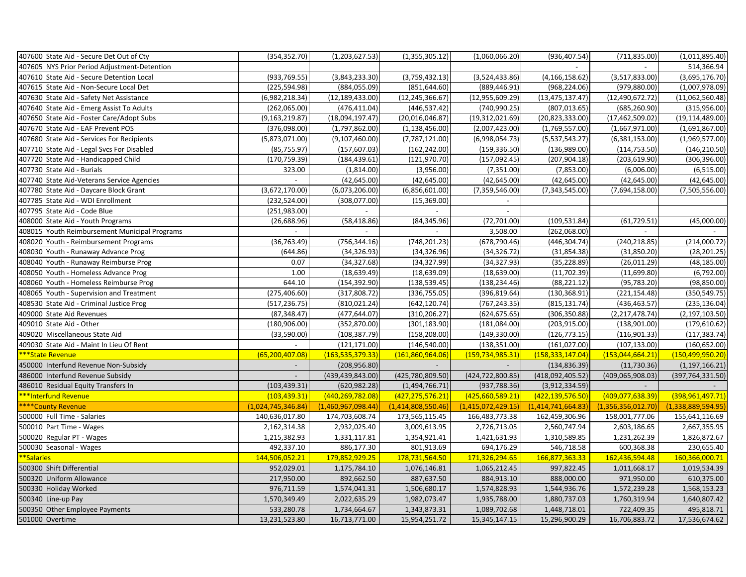| 407600 State Aid - Secure Det Out of Cty      | (354, 352.70)      | (1,203,627.53)     | (1,355,305.12)     | (1,060,066.20)     | (936, 407.54)         | (711, 835.00)      | (1,011,895.40)     |
|-----------------------------------------------|--------------------|--------------------|--------------------|--------------------|-----------------------|--------------------|--------------------|
| 407605 NYS Prior Period Adjustment-Detention  |                    |                    |                    |                    |                       |                    | 514,366.94         |
| 407610 State Aid - Secure Detention Local     | (933, 769.55)      | (3,843,233.30)     | (3,759,432.13)     | (3,524,433.86)     | (4, 166, 158.62)      | (3,517,833.00)     | (3,695,176.70)     |
| 407615 State Aid - Non-Secure Local Det       | (225, 594.98)      | (884, 055.09)      | (851, 644.60)      | (889, 446.91)      | (968, 224.06)         | (979, 880.00)      | (1,007,978.09)     |
| 407630 State Aid - Safety Net Assistance      | (6,982,218.34)     | (12, 189, 433.00)  | (12, 245, 366.67)  | (12, 955, 609.29)  | (13, 475, 137.47)     | (12, 490, 672.72)  | (11,062,560.48)    |
| 407640 State Aid - Emerg Assist To Adults     | (262,065.00)       | (476, 411.04)      | (446, 537.42)      | (740, 990.25)      | (807, 013.65)         | (685, 260.90)      | (315, 956.00)      |
| 407650 State Aid - Foster Care/Adopt Subs     | (9, 163, 219.87)   | (18,094,197.47)    | (20,016,046.87)    | (19, 312, 021.69)  | (20, 823, 333.00)     | (17, 462, 509.02)  | (19, 114, 489.00)  |
| 407670 State Aid - EAF Prevent POS            | (376,098.00)       | (1,797,862.00)     | (1, 138, 456.00)   | (2,007,423.00)     | (1,769,557.00)        | (1,667,971.00)     | (1,691,867.00)     |
| 407680 State Aid - Services For Recipients    | (5,873,071.00)     | (9, 107, 460.00)   | (7,787,121.00)     | (6,998,054.73)     | (5,537,543.27)        | (6,381,153.00)     | (1,969,577.00)     |
| 407710 State Aid - Legal Svcs For Disabled    | (85, 755.97)       | (157, 607.03)      | (162, 242.00)      | (159, 336.50)      | (136,989.00)          | (114, 753.50)      | (146, 210.50)      |
| 407720 State Aid - Handicapped Child          | (170, 759.39)      | (184, 439.61)      | (121, 970.70)      | (157,092.45)       | (207, 904.18)         | (203, 619.90)      | (306, 396.00)      |
| 407730 State Aid - Burials                    | 323.00             | (1,814.00)         | (3,956.00)         | (7,351.00)         | (7,853.00)            | (6,006.00)         | (6,515.00)         |
| 407740 State Aid-Veterans Service Agencies    | $\overline{a}$     | (42, 645.00)       | (42, 645.00)       | (42, 645.00)       | (42, 645.00)          | (42, 645.00)       | (42, 645.00)       |
| 407780 State Aid - Daycare Block Grant        | (3,672,170.00)     | (6,073,206.00)     | (6,856,601.00)     | (7,359,546.00)     | (7,343,545.00)        | (7,694,158.00)     | (7,505,556.00)     |
| 407785 State Aid - WDI Enrollment             | (232, 524.00)      | (308,077.00)       | (15, 369.00)       |                    |                       |                    |                    |
| 407795 State Aid - Code Blue                  | (251,983.00)       |                    |                    |                    |                       |                    |                    |
| 408000 State Aid - Youth Programs             | (26, 688.96)       | (58, 418.86)       | (84, 345.96)       | (72,701.00)        | (109, 531.84)         | (61, 729.51)       | (45,000.00)        |
| 408015 Youth Reimbursement Municipal Programs | $\overline{a}$     | $\sim$             |                    | 3,508.00           | (262,068.00)          |                    |                    |
| 408020 Youth - Reimbursement Programs         | (36, 763.49)       | (756, 344.16)      | (748, 201.23)      | (678, 790.46)      | (446, 304.74)         | (240, 218.85)      | (214,000.72)       |
| 408030 Youth - Runaway Advance Prog           | (644.86)           | (34, 326.93)       | (34, 326.96)       | (34, 326.72)       | (31, 854.38)          | (31,850.20)        | (28, 201.25)       |
| 408040 Youth - Runaway Reimburse Prog         | 0.07               | (34, 327.68)       | (34, 327.99)       | (34, 327.93)       | (35, 228.89)          | (26, 011.29)       | (48, 185.00)       |
| 408050 Youth - Homeless Advance Prog          | 1.00               | (18, 639.49)       | (18, 639.09)       | (18, 639.00)       | (11, 702.39)          | (11,699.80)        | (6,792.00)         |
| 408060 Youth - Homeless Reimburse Prog        | 644.10             | (154, 392.90)      | (138, 539.45)      | (138, 234.46)      | (88, 221.12)          | (95, 783.20)       | (98, 850.00)       |
| 408065 Youth - Supervision and Treatment      | (275, 406.60)      | (317, 808.72)      | (336, 755.05)      | (396, 819.64)      | (130, 368.91)         | (221, 154.48)      | (350, 549.75)      |
| 408530 State Aid - Criminal Justice Prog      | (517, 236.75)      | (810, 021.24)      | (642, 120.74)      | (767, 243.35)      | (815, 131.74)         | (436, 463.57)      | (235, 136.04)      |
| 409000 State Aid Revenues                     | (87, 348.47)       | (477, 644.07)      | (310, 206.27)      | (624, 675.65)      | (306, 350.88)         | (2,217,478.74)     | (2, 197, 103.50)   |
| 409010 State Aid - Other                      | (180, 906.00)      | (352, 870.00)      | (301, 183.90)      | (181,084.00)       | (203, 915.00)         | (138,901.00)       | (179, 610.62)      |
| 409020 Miscellaneous State Aid                | (33,590.00)        | (108, 387.79)      | (158, 208.00)      | (149, 330.00)      | (126, 773.15)         | (116, 901.33)      | (117, 383.74)      |
| 409030 State Aid - Maint In Lieu Of Rent      |                    | (121, 171.00)      | (146, 540.00)      | (138, 351.00)      | (161, 027.00)         | (107, 133.00)      | (160, 652.00)      |
| ***State Revenue                              | (65, 200, 407.08)  | (163, 535, 379.33) | (161, 860, 964.06) | (159, 734, 985.31) | (158, 333, 147.04)    | (153, 044, 664.21) | (150, 499, 950.20) |
| 450000 Interfund Revenue Non-Subsidy          | $\sim$             | (208, 956.80)      | $\sim$             | $\sim$             | (134, 836.39)         | (11, 730.36)       | (1, 197, 166.21)   |
| 486000 Interfund Revenue Subsidy              | $\sim$             | (439, 439, 843.00) | (425,780,809.50)   | (424, 722, 800.85) | (418,092,405.52)      | (409,065,908.03)   | (397, 764, 331.50) |
| 486010 Residual Equity Transfers In           | (103, 439.31)      | (620, 982.28)      | (1,494,766.71)     | (937, 788.36)      | (3,912,334.59)        |                    |                    |
| ***Interfund Revenue                          | (103, 439.31)      | (440, 269, 782.08) | (427, 275, 576.21) | (425,660,589.21)   | (422, 139, 576.50)    | (409,077,638.39)   | (398, 961, 497.71) |
| ****County Revenue                            | (1,024,745,346.84) | (1,460,967,098.44) | (1,414,808,550.46) | (1,415,072,429.15) | (1, 414, 741, 664.83) | (1,356,356,012.70) | (1,338,889,594.95) |
| 500000 Full Time - Salaries                   | 140,636,017.80     | 174,703,608.74     | 173,565,115.45     | 166,483,773.38     | 162,459,306.96        | 158,001,777.06     | 155,641,116.69     |
| 500010 Part Time - Wages                      | 2,162,314.38       | 2,932,025.40       | 3,009,613.95       | 2,726,713.05       | 2,560,747.94          | 2,603,186.65       | 2,667,355.95       |
| 500020 Regular PT - Wages                     | 1,215,382.93       | 1,331,117.81       | 1,354,921.41       | 1,421,631.93       | 1,310,589.85          | 1,231,262.39       | 1,826,872.67       |
| 500030 Seasonal - Wages                       | 492,337.10         | 886,177.30         | 801,913.69         | 694,176.29         | 546,718.58            | 600,368.38         | 230,655.40         |
| **Salaries                                    | 144,506,052.21     | 179,852,929.25     | 178,731,564.50     | 171,326,294.65     | 166,877,363.33        | 162,436,594.48     | 160,366,000.71     |
| 500300 Shift Differential                     | 952,029.01         | 1,175,784.10       | 1,076,146.81       | 1,065,212.45       | 997,822.45            | 1,011,668.17       | 1,019,534.39       |
| 500320 Uniform Allowance                      | 217,950.00         | 892,662.50         | 887,637.50         | 884,913.10         | 888,000.00            | 971,950.00         | 610,375.00         |
| 500330 Holiday Worked                         | 976,711.59         | 1,574,041.31       | 1,506,680.17       | 1,574,828.93       | 1,544,936.76          | 1,572,239.28       | 1,568,153.23       |
| 500340 Line-up Pay                            | 1,570,349.49       | 2,022,635.29       | 1,982,073.47       | 1,935,788.00       | 1,880,737.03          | 1,760,319.94       | 1,640,807.42       |
| 500350 Other Employee Payments                | 533,280.78         | 1,734,664.67       | 1,343,873.31       | 1,089,702.68       | 1,448,718.01          | 722,409.35         | 495,818.71         |
| 501000 Overtime                               | 13,231,523.80      | 16,713,771.00      | 15,954,251.72      | 15,345,147.15      | 15,296,900.29         | 16,706,883.72      | 17,536,674.62      |
|                                               |                    |                    |                    |                    |                       |                    |                    |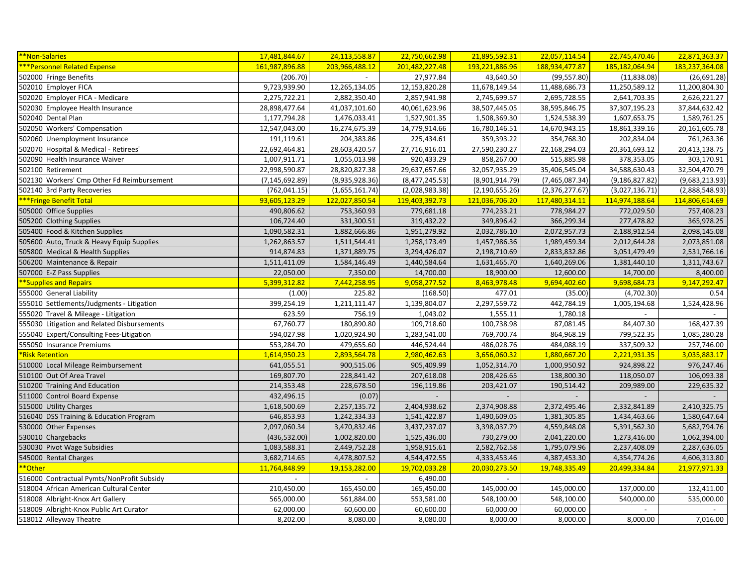| <b>**Non-Salaries</b>                       | 17,481,844.67    | 24,113,558.87            | 22,750,662.98  | 21,895,592.31            | 22,057,114.54  | 22,745,470.46            | 22,871,363.37  |
|---------------------------------------------|------------------|--------------------------|----------------|--------------------------|----------------|--------------------------|----------------|
| ***Personnel Related Expense                | 161,987,896.88   | 203,966,488.12           | 201,482,227.48 | 193,221,886.96           | 188,934,477.87 | 185,182,064.94           | 183,237,364.08 |
| 502000 Fringe Benefits                      | (206.70)         | $\overline{\phantom{a}}$ | 27,977.84      | 43,640.50                | (99, 557.80)   | (11,838.08)              | (26,691.28)    |
| 502010 Employer FICA                        | 9,723,939.90     | 12,265,134.05            | 12,153,820.28  | 11,678,149.54            | 11,488,686.73  | 11,250,589.12            | 11,200,804.30  |
| 502020 Employer FICA - Medicare             | 2,275,722.21     | 2,882,350.40             | 2,857,941.98   | 2,745,699.57             | 2,695,728.55   | 2,641,703.35             | 2,626,221.27   |
| 502030 Employee Health Insurance            | 28,898,477.64    | 41,037,101.60            | 40,061,623.96  | 38,507,445.05            | 38,595,846.75  | 37,307,195.23            | 37,844,632.42  |
| 502040 Dental Plan                          | 1,177,794.28     | 1,476,033.41             | 1,527,901.35   | 1,508,369.30             | 1,524,538.39   | 1,607,653.75             | 1,589,761.25   |
| 502050 Workers' Compensation                | 12,547,043.00    | 16,274,675.39            | 14,779,914.66  | 16,780,146.51            | 14,670,943.15  | 18,861,339.16            | 20,161,605.78  |
| 502060 Unemployment Insurance               | 191,119.61       | 204,383.86               | 225,434.61     | 359,393.22               | 354,768.30     | 202,834.04               | 761,263.36     |
| 502070 Hospital & Medical - Retirees'       | 22,692,464.81    | 28,603,420.57            | 27,716,916.01  | 27,590,230.27            | 22,168,294.03  | 20,361,693.12            | 20,413,138.75  |
| 502090 Health Insurance Waiver              | 1,007,911.71     | 1,055,013.98             | 920,433.29     | 858,267.00               | 515,885.98     | 378,353.05               | 303,170.91     |
| 502100 Retirement                           | 22,998,590.87    | 28,820,827.38            | 29,637,657.66  | 32,057,935.29            | 35,406,545.04  | 34,588,630.43            | 32,504,470.79  |
| 502130 Workers' Cmp Other Fd Reimbursement  | (7, 145, 692.89) | (8,935,928.36)           | (8,477,245.53) | (8,901,914.79)           | (7,465,087.34) | (9, 186, 827.82)         | (9,683,213.93) |
| 502140 3rd Party Recoveries                 | (762, 041.15)    | (1,655,161.74)           | (2,028,983.38) | (2, 190, 655.26)         | (2,376,277.67) | (3,027,136.71)           | (2,888,548.93) |
| ***Fringe Benefit Total                     | 93,605,123.29    | 122,027,850.54           | 119,403,392.73 | 121,036,706.20           | 117,480,314.11 | 114,974,188.64           | 114,806,614.69 |
| 505000 Office Supplies                      | 490,806.62       | 753,360.93               | 779,681.18     | 774,233.21               | 778,984.27     | 772,029.50               | 757,408.23     |
| 505200 Clothing Supplies                    | 106,724.40       | 331,300.51               | 319,432.22     | 349,896.42               | 366,299.34     | 277,478.82               | 365,978.25     |
| 505400 Food & Kitchen Supplies              | 1,090,582.31     | 1,882,666.86             | 1,951,279.92   | 2,032,786.10             | 2,072,957.73   | 2,188,912.54             | 2,098,145.08   |
| 505600 Auto, Truck & Heavy Equip Supplies   | 1,262,863.57     | 1,511,544.41             | 1,258,173.49   | 1,457,986.36             | 1,989,459.34   | 2,012,644.28             | 2,073,851.08   |
| 505800 Medical & Health Supplies            | 914,874.83       | 1,371,889.75             | 3,294,426.07   | 2,198,710.69             | 2,833,832.86   | 3,051,479.49             | 2,531,766.16   |
| 506200 Maintenance & Repair                 | 1,511,411.09     | 1,584,146.49             | 1,440,584.64   | 1,631,465.70             | 1,640,269.06   | 1,381,440.10             | 1,311,743.67   |
| 507000 E-Z Pass Supplies                    | 22,050.00        | 7,350.00                 | 14,700.00      | 18,900.00                | 12,600.00      | 14,700.00                | 8,400.00       |
| **Supplies and Repairs                      | 5,399,312.82     | 7,442,258.95             | 9,058,277.52   | 8,463,978.48             | 9,694,402.60   | 9,698,684.73             | 9,147,292.47   |
| 555000 General Liability                    | (1.00)           | 225.82                   | (168.50)       | 477.01                   | (35.00)        | (4,702.30)               | 0.54           |
| 555010 Settlements/Judgments - Litigation   | 399,254.19       | 1,211,111.47             | 1,139,804.07   | 2,297,559.72             | 442,784.19     | 1,005,194.68             | 1,524,428.96   |
| 555020 Travel & Mileage - Litigation        | 623.59           | 756.19                   | 1,043.02       | 1,555.11                 | 1,780.18       | $\overline{\phantom{a}}$ |                |
| 555030 Litigation and Related Disbursements | 67,760.77        | 180,890.80               | 109,718.60     | 100,738.98               | 87,081.45      | 84,407.30                | 168,427.39     |
| 555040 Expert/Consulting Fees-Litigation    | 594,027.98       | 1,020,924.90             | 1,283,541.00   | 769,700.74               | 864,968.19     | 799,522.35               | 1,085,280.28   |
| 555050 Insurance Premiums                   | 553,284.70       | 479,655.60               | 446,524.44     | 486,028.76               | 484,088.19     | 337,509.32               | 257,746.00     |
| <b>*Risk Retention</b>                      | 1,614,950.23     | 2,893,564.78             | 2,980,462.63   | 3,656,060.32             | 1,880,667.20   | 2,221,931.35             | 3,035,883.17   |
| 510000 Local Mileage Reimbursement          | 641,055.51       | 900,515.06               | 905,409.99     | 1,052,314.70             | 1,000,950.92   | 924,898.22               | 976,247.46     |
| 510100 Out Of Area Travel                   | 169,807.70       | 228,841.42               | 207,618.08     | 208,426.65               | 138,800.30     | 118,050.07               | 106,093.38     |
| 510200 Training And Education               | 214,353.48       | 228,678.50               | 196,119.86     | 203,421.07               | 190,514.42     | 209,989.00               | 229,635.32     |
| 511000 Control Board Expense                | 432,496.15       | (0.07)                   |                | $\overline{\phantom{a}}$ |                |                          |                |
| 515000 Utility Charges                      | 1,618,500.69     | 2,257,135.72             | 2,404,938.62   | 2,374,908.88             | 2,372,495.46   | 2,332,841.89             | 2,410,325.75   |
| 516040 DSS Training & Education Program     | 646,853.93       | 1,242,334.33             | 1,541,422.87   | 1,490,609.05             | 1,381,305.85   | 1,434,463.66             | 1,580,647.64   |
| 530000 Other Expenses                       | 2,097,060.34     | 3,470,832.46             | 3,437,237.07   | 3,398,037.79             | 4,559,848.08   | 5,391,562.30             | 5,682,794.76   |
| 530010 Chargebacks                          | (436, 532.00)    | 1,002,820.00             | 1,525,436.00   | 730,279.00               | 2,041,220.00   | 1,273,416.00             | 1,062,394.00   |
| 530030 Pivot Wage Subsidies                 | 1,083,588.31     | 2,449,752.28             | 1,958,915.61   | 2,582,762.58             | 1,795,079.96   | 2,237,408.09             | 2,287,636.05   |
| 545000 Rental Charges                       | 3,682,714.65     | 4,478,807.52             | 4,544,472.55   | 4,333,453.46             | 4,387,453.30   | 4,354,774.26             | 4,606,313.80   |
| **Other                                     | 11,764,848.99    | 19,153,282.00            | 19,702,033.28  | 20,030,273.50            | 19,748,335.49  | 20,499,334.84            | 21,977,971.33  |
| 516000 Contractual Pymts/NonProfit Subsidy  |                  |                          | 6,490.00       |                          |                |                          |                |
| 518004 African American Cultural Center     | 210,450.00       | 165,450.00               | 165,450.00     | 145,000.00               | 145,000.00     | 137,000.00               | 132,411.00     |
| 518008 Albright-Knox Art Gallery            | 565,000.00       | 561,884.00               | 553,581.00     | 548,100.00               | 548,100.00     | 540,000.00               | 535,000.00     |
| 518009 Albright-Knox Public Art Curator     | 62,000.00        | 60,600.00                | 60,600.00      | 60,000.00                | 60,000.00      |                          |                |
| 518012 Alleyway Theatre                     | 8,202.00         | 8,080.00                 | 8,080.00       | 8,000.00                 | 8,000.00       | 8,000.00                 | 7,016.00       |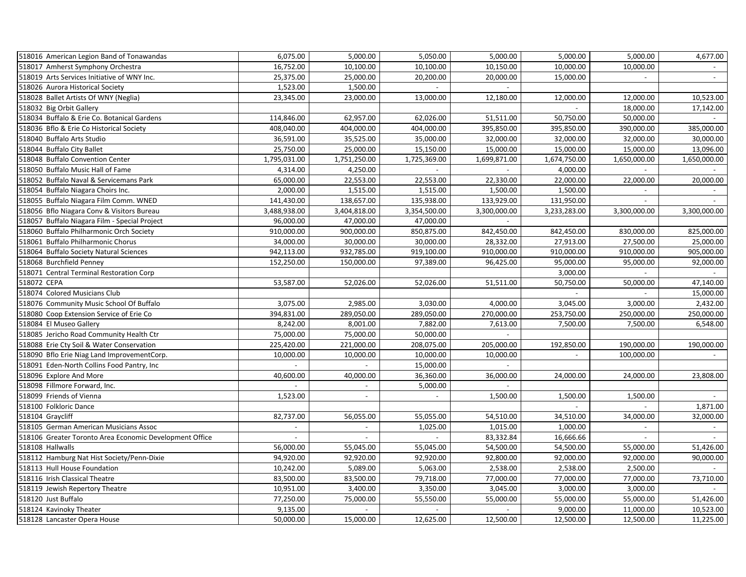| 518016 American Legion Band of Tonawandas                | 6,075.00                 | 5,000.00                    | 5,050.00              | 5,000.00            | 5,000.00                 | 5,000.00       | 4,677.00                 |
|----------------------------------------------------------|--------------------------|-----------------------------|-----------------------|---------------------|--------------------------|----------------|--------------------------|
| 518017 Amherst Symphony Orchestra                        | 16,752.00                | 10,100.00                   | 10,100.00             | 10,150.00           | 10,000.00                | 10,000.00      |                          |
| 518019 Arts Services Initiative of WNY Inc.              | 25,375.00                | 25,000.00                   | 20,200.00             | 20,000.00           | 15,000.00                | $\sim$         | $\overline{\phantom{a}}$ |
| 518026 Aurora Historical Society                         | 1,523.00                 | 1,500.00                    | $\sim$                | $\sim$              |                          |                |                          |
| 518028 Ballet Artists Of WNY (Neglia)                    | 23,345.00                | 23,000.00                   | 13,000.00             | 12,180.00           | 12,000.00                | 12,000.00      | 10,523.00                |
| 518032 Big Orbit Gallery                                 |                          |                             |                       |                     |                          | 18,000.00      | 17,142.00                |
| 518034 Buffalo & Erie Co. Botanical Gardens              | 114,846.00               | 62,957.00                   | 62,026.00             | 51,511.00           | 50,750.00                | 50,000.00      |                          |
| 518036 Bflo & Erie Co Historical Society                 | 408,040.00               | 404,000.00                  | 404,000.00            | 395,850.00          | 395,850.00               | 390,000.00     | 385,000.00               |
| 518040 Buffalo Arts Studio                               | 36,591.00                | 35,525.00                   | 35,000.00             | 32,000.00           | 32,000.00                | 32,000.00      | 30,000.00                |
| 518044 Buffalo City Ballet                               | 25,750.00                | 25,000.00                   | 15,150.00             | 15,000.00           | 15,000.00                | 15,000.00      | 13,096.00                |
| 518048 Buffalo Convention Center                         | 1,795,031.00             | 1,751,250.00                | 1,725,369.00          | 1,699,871.00        | 1,674,750.00             | 1,650,000.00   | 1,650,000.00             |
| 518050 Buffalo Music Hall of Fame                        | 4,314.00                 | 4,250.00                    |                       |                     | 4,000.00                 |                |                          |
| 518052 Buffalo Naval & Servicemans Park                  | 65,000.00                | 22,553.00                   | 22,553.00             | 22,330.00           | 22,000.00                | 22,000.00      | 20,000.00                |
| 518054 Buffalo Niagara Choirs Inc.                       | 2,000.00                 | $\overline{1,515.00}$       | 1,515.00              | 1,500.00            | 1,500.00                 |                |                          |
| 518055 Buffalo Niagara Film Comm. WNED                   | 141,430.00               | 138,657.00                  | 135,938.00            | 133,929.00          | 131,950.00               |                |                          |
| 518056 Bflo Niagara Conv & Visitors Bureau               | 3,488,938.00             | 3,404,818.00                | 3,354,500.00          | 3,300,000.00        | 3,233,283.00             | 3,300,000.00   | 3,300,000.00             |
| 518057 Buffalo Niagara Film - Special Project            | 96,000.00                | 47,000.00                   | 47,000.00             |                     |                          |                |                          |
| 518060 Buffalo Philharmonic Orch Society                 | 910,000.00               | 900,000.00                  | 850,875.00            | 842,450.00          | 842,450.00               | 830,000.00     | 825,000.00               |
| 518061 Buffalo Philharmonic Chorus                       | 34,000.00                | 30,000.00                   | 30,000.00             | 28,332.00           | 27,913.00                | 27,500.00      | 25,000.00                |
| 518064 Buffalo Society Natural Sciences                  | 942,113.00               | 932,785.00                  | 919,100.00            | 910,000.00          | 910,000.00               | 910,000.00     | 905,000.00               |
| 518068 Burchfield Penney                                 | 152,250.00               | 150,000.00                  | 97,389.00             | 96,425.00           | 95,000.00                | 95,000.00      | 92,000.00                |
| 518071 Central Terminal Restoration Corp                 |                          |                             |                       |                     | 3,000.00                 | $\sim$         | $\sim$                   |
| 518072 CEPA                                              | 53,587.00                | 52,026.00                   | 52,026.00             | 51,511.00           | 50,750.00                | 50,000.00      | 47,140.00                |
| 518074 Colored Musicians Club                            |                          |                             |                       |                     | $\mathbb{L}$             |                | 15,000.00                |
| 518076 Community Music School Of Buffalo                 | 3,075.00                 | 2,985.00                    | 3,030.00              | 4,000.00            | 3,045.00                 | 3,000.00       | 2,432.00                 |
| 518080 Coop Extension Service of Erie Co                 | 394,831.00               | 289,050.00                  | 289,050.00            | 270,000.00          | 253,750.00               | 250,000.00     | 250,000.00               |
| 518084 El Museo Gallery                                  |                          |                             |                       |                     |                          |                |                          |
| 518085 Jericho Road Community Health Ctr                 | 8,242.00                 | 8,001.00                    | 7,882.00              | 7,613.00            | 7,500.00                 | 7,500.00       | 6,548.00                 |
|                                                          | 75,000.00                | 75,000.00                   | 50,000.00             |                     |                          |                |                          |
| 518088 Erie Cty Soil & Water Conservation                | 225,420.00               | 221,000.00                  | 208,075.00            | 205,000.00          | 192,850.00               | 190,000.00     | 190,000.00               |
| 518090 Bflo Erie Niag Land ImprovementCorp.              | 10,000.00<br>$\sim$      | 10,000.00<br>$\mathbb{Z}^+$ | 10,000.00             | 10,000.00<br>$\sim$ | $\overline{\phantom{a}}$ | 100,000.00     |                          |
| 518091 Eden-North Collins Food Pantry, Inc               |                          |                             | 15,000.00             |                     |                          |                |                          |
| 518096 Explore And More<br>518098 Fillmore Forward, Inc. | 40,600.00                | 40,000.00                   | 36,360.00<br>5,000.00 | 36,000.00           | 24,000.00                | 24,000.00      | 23,808.00                |
|                                                          |                          |                             |                       |                     |                          |                |                          |
| 518099 Friends of Vienna                                 | 1,523.00                 | $\sim$                      | $\sim$                | 1,500.00            | 1,500.00                 | 1,500.00       |                          |
| 518100 Folkloric Dance                                   |                          |                             |                       |                     | $\sim$                   | $\overline{a}$ | 1,871.00                 |
| 518104 Graycliff                                         | 82,737.00                | 56,055.00                   | 55,055.00             | 54,510.00           | 34,510.00                | 34,000.00      | 32,000.00                |
| 518105 German American Musicians Assoc                   | $\overline{\phantom{a}}$ | $\sim$                      | 1,025.00              | 1,015.00            | 1,000.00                 | $\blacksquare$ |                          |
| 518106 Greater Toronto Area Economic Development Office  |                          |                             |                       | 83,332.84           | 16,666.66                |                |                          |
| 518108 Hallwalls                                         | 56,000.00                | 55,045.00                   | 55,045.00             | 54,500.00           | 54,500.00                | 55,000.00      | 51,426.00                |
| 518112 Hamburg Nat Hist Society/Penn-Dixie               | 94,920.00                | 92,920.00                   | 92,920.00             | 92,800.00           | 92,000.00                | 92,000.00      | 90,000.00                |
| 518113 Hull House Foundation                             | 10,242.00                | 5,089.00                    | 5,063.00              | 2,538.00            | 2,538.00                 | 2,500.00       |                          |
| 518116 Irish Classical Theatre                           | 83,500.00                | 83,500.00                   | 79,718.00             | 77,000.00           | 77,000.00                | 77,000.00      | 73,710.00                |
| 518119 Jewish Repertory Theatre                          | 10,951.00                | 3,400.00                    | 3,350.00              | 3,045.00            | 3,000.00                 | 3,000.00       |                          |
| 518120 Just Buffalo                                      | 77,250.00                | 75,000.00                   | 55,550.00             | 55,000.00           | 55,000.00                | 55,000.00      | 51,426.00                |
| 518124 Kavinoky Theater                                  | 9,135.00                 |                             |                       |                     | 9,000.00                 | 11,000.00      | 10,523.00                |
| 518128 Lancaster Opera House                             | 50,000.00                | 15,000.00                   | 12,625.00             | 12,500.00           | 12,500.00                | 12,500.00      | 11,225.00                |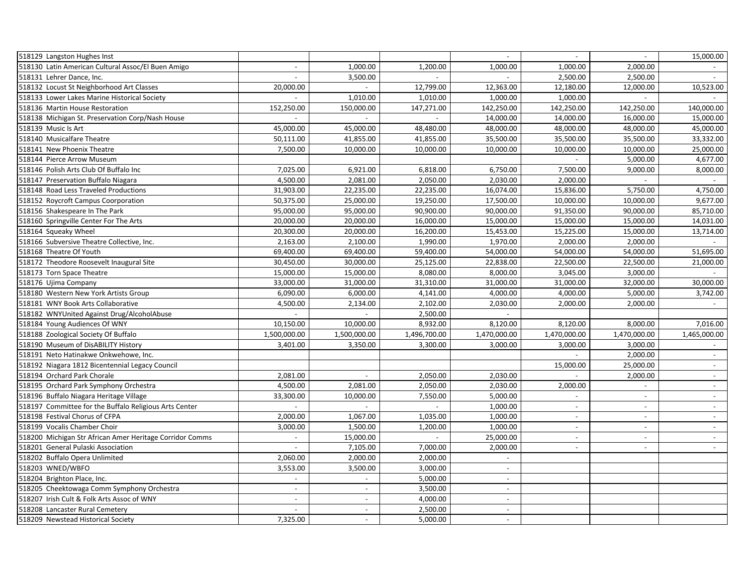| 518129 Langston Hughes Inst                              |                             |                          |              | $\sim$                   | $\sim$                   | $\overline{\phantom{a}}$ | 15,000.00                   |
|----------------------------------------------------------|-----------------------------|--------------------------|--------------|--------------------------|--------------------------|--------------------------|-----------------------------|
| 518130 Latin American Cultural Assoc/El Buen Amigo       |                             | 1,000.00                 | 1,200.00     | 1,000.00                 | 1,000.00                 | 2,000.00                 |                             |
| 518131 Lehrer Dance, Inc.                                | $\overline{\phantom{a}}$    | 3,500.00                 |              |                          | 2,500.00                 | 2,500.00                 |                             |
| 518132 Locust St Neighborhood Art Classes                | 20,000.00                   | $\sim$                   | 12,799.00    | 12,363.00                | 12,180.00                | 12,000.00                | 10,523.00                   |
| 518133 Lower Lakes Marine Historical Society             | $\sim$                      | 1,010.00                 | 1,010.00     | 1,000.00                 | 1,000.00                 |                          |                             |
| 518136 Martin House Restoration                          | 152,250.00                  | 150,000.00               | 147,271.00   | 142,250.00               | 142,250.00               | 142,250.00               | 140,000.00                  |
| 518138 Michigan St. Preservation Corp/Nash House         |                             |                          |              | 14,000.00                | 14,000.00                | 16,000.00                | 15,000.00                   |
| 518139 Music Is Art                                      | 45,000.00                   | 45,000.00                | 48,480.00    | 48,000.00                | 48,000.00                | 48,000.00                | 45,000.00                   |
| 518140 Musicalfare Theatre                               | 50,111.00                   | 41,855.00                | 41,855.00    | 35,500.00                | 35,500.00                | 35,500.00                | 33,332.00                   |
| 518141 New Phoenix Theatre                               | 7,500.00                    | 10,000.00                | 10,000.00    | 10,000.00                | 10,000.00                | 10,000.00                | 25,000.00                   |
| 518144 Pierce Arrow Museum                               |                             |                          |              |                          |                          | 5,000.00                 | 4,677.00                    |
| 518146 Polish Arts Club Of Buffalo Inc                   | 7,025.00                    | 6,921.00                 | 6,818.00     | 6,750.00                 | 7,500.00                 | 9,000.00                 | 8,000.00                    |
| 518147 Preservation Buffalo Niagara                      | 4,500.00                    | 2,081.00                 | 2,050.00     | 2,030.00                 | 2,000.00                 | $\overline{a}$           | $\mathcal{L}_{\mathcal{A}}$ |
| 518148 Road Less Traveled Productions                    | 31,903.00                   | 22,235.00                | 22,235.00    | 16,074.00                | 15,836.00                | 5,750.00                 | 4,750.00                    |
| 518152 Roycroft Campus Coorporation                      | 50,375.00                   | 25,000.00                | 19,250.00    | 17,500.00                | 10,000.00                | 10,000.00                | 9,677.00                    |
| 518156 Shakespeare In The Park                           | 95,000.00                   | 95,000.00                | 90,900.00    | 90,000.00                | 91,350.00                | 90,000.00                | 85,710.00                   |
| 518160 Springville Center For The Arts                   | 20,000.00                   | 20,000.00                | 16,000.00    | 15,000.00                | 15,000.00                | 15,000.00                | 14,031.00                   |
| 518164 Squeaky Wheel                                     | 20,300.00                   | 20,000.00                | 16,200.00    | 15,453.00                | 15,225.00                | 15,000.00                | 13,714.00                   |
| 518166 Subversive Theatre Collective, Inc.               | 2,163.00                    | 2,100.00                 | 1,990.00     | 1,970.00                 | 2,000.00                 | 2,000.00                 |                             |
| 518168 Theatre Of Youth                                  | 69,400.00                   | 69,400.00                | 59,400.00    | 54,000.00                | 54,000.00                | 54,000.00                | 51,695.00                   |
| 518172 Theodore Roosevelt Inaugural Site                 | 30,450.00                   | 30,000.00                | 25,125.00    | 22,838.00                | 22,500.00                | 22,500.00                | 21,000.00                   |
| 518173 Torn Space Theatre                                | 15,000.00                   | 15,000.00                | 8,080.00     | 8,000.00                 | 3,045.00                 | 3,000.00                 |                             |
| 518176 Ujima Company                                     | 33,000.00                   | 31,000.00                | 31,310.00    | 31,000.00                | 31,000.00                | 32,000.00                | 30,000.00                   |
| 518180 Western New York Artists Group                    | 6,090.00                    | 6,000.00                 | 4,141.00     | 4,000.00                 | 4,000.00                 | 5,000.00                 | 3,742.00                    |
| 518181 WNY Book Arts Collaborative                       | 4,500.00                    | 2,134.00                 | 2,102.00     | 2,030.00                 | 2,000.00                 | 2,000.00                 |                             |
| 518182 WNYUnited Against Drug/AlcoholAbuse               | $\omega$                    |                          | 2,500.00     | $\blacksquare$           |                          |                          |                             |
| 518184 Young Audiences Of WNY                            | 10,150.00                   | 10,000.00                | 8,932.00     | 8,120.00                 | 8,120.00                 | 8,000.00                 | 7,016.00                    |
| 518188 Zoological Society Of Buffalo                     | 1,500,000.00                | 1,500,000.00             | 1,496,700.00 | 1,470,000.00             | 1,470,000.00             | 1,470,000.00             | 1,465,000.00                |
| 518190 Museum of DisABILITY History                      | 3,401.00                    | 3,350.00                 | 3,300.00     | 3,000.00                 | 3,000.00                 | 3,000.00                 |                             |
| 518191 Neto Hatinakwe Onkwehowe, Inc.                    |                             |                          |              |                          |                          | 2,000.00                 |                             |
| 518192 Niagara 1812 Bicentennial Legacy Council          |                             |                          |              |                          | 15,000.00                | 25,000.00                | $\mathcal{L}_{\mathcal{A}}$ |
| 518194 Orchard Park Chorale                              | 2,081.00                    |                          | 2,050.00     | 2,030.00                 |                          | 2,000.00                 | $\blacksquare$              |
| 518195 Orchard Park Symphony Orchestra                   | 4,500.00                    | 2,081.00                 | 2,050.00     | 2,030.00                 | 2,000.00                 |                          | $\overline{\phantom{a}}$    |
| 518196 Buffalo Niagara Heritage Village                  | 33,300.00                   | 10,000.00                | 7,550.00     | 5,000.00                 | $\sim$                   | $\overline{\phantom{a}}$ | $\sim$                      |
| 518197 Committee for the Buffalo Religious Arts Center   | $\sim$                      | $\overline{a}$           | $\sim$       | 1,000.00                 | $\overline{\phantom{a}}$ | $\sim$                   | $\blacksquare$              |
| 518198 Festival Chorus of CFPA                           | 2,000.00                    | 1,067.00                 | 1,035.00     | 1,000.00                 | $\sim$                   | $\overline{\phantom{a}}$ | $\mathbb{Z}^2$              |
| 518199 Vocalis Chamber Choir                             | 3,000.00                    | 1,500.00                 | 1,200.00     | 1,000.00                 | $\overline{\phantom{a}}$ | $\overline{\phantom{a}}$ | $\blacksquare$              |
| 518200 Michigan Str African Amer Heritage Corridor Comms |                             | 15,000.00                |              | 25,000.00                | $\sim$                   |                          |                             |
| 518201 General Pulaski Association                       | $\mathcal{L}_{\mathcal{A}}$ | 7,105.00                 | 7,000.00     | 2,000.00                 | $\sim$                   | $\overline{\phantom{a}}$ | $\sim$                      |
| 518202 Buffalo Opera Unlimited                           | 2,060.00                    | 2,000.00                 | 2,000.00     | $\blacksquare$           |                          |                          |                             |
| 518203 WNED/WBFO                                         | 3,553.00                    | 3,500.00                 | 3,000.00     | $\overline{a}$           |                          |                          |                             |
| 518204 Brighton Place, Inc.                              | $\overline{a}$              |                          | 5,000.00     | $\overline{\phantom{a}}$ |                          |                          |                             |
| 518205 Cheektowaga Comm Symphony Orchestra               | $\overline{a}$              | $\overline{\phantom{a}}$ | 3,500.00     | $\sim$                   |                          |                          |                             |
| 518207 Irish Cult & Folk Arts Assoc of WNY               | $\sim$                      | $\sim$                   | 4,000.00     | $\overline{\phantom{a}}$ |                          |                          |                             |
| 518208 Lancaster Rural Cemetery                          | $\overline{a}$              | $\overline{\phantom{a}}$ | 2,500.00     | $\overline{a}$           |                          |                          |                             |
| 518209 Newstead Historical Society                       | 7,325.00                    |                          | 5,000.00     | $\overline{\phantom{a}}$ |                          |                          |                             |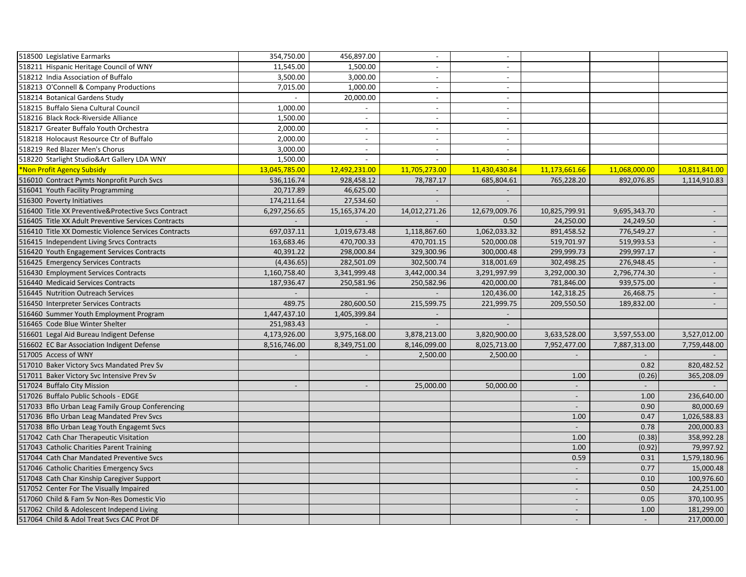| 518500 Legislative Earmarks                          | 354,750.00               | 456,897.00               | $\sim$                   | $\overline{\phantom{a}}$    |                          |               |                             |
|------------------------------------------------------|--------------------------|--------------------------|--------------------------|-----------------------------|--------------------------|---------------|-----------------------------|
| 518211 Hispanic Heritage Council of WNY              | 11,545.00                | 1,500.00                 |                          | $\overline{a}$              |                          |               |                             |
| 518212 India Association of Buffalo                  | 3,500.00                 | 3,000.00                 | $\sim$                   | $\sim$                      |                          |               |                             |
| 518213 O'Connell & Company Productions               | 7,015.00                 | 1,000.00                 | $\sim$                   | $\sim$                      |                          |               |                             |
| 518214 Botanical Gardens Study                       | $\sim$                   | 20,000.00                | $\sim$                   | $\sim$                      |                          |               |                             |
| 518215 Buffalo Siena Cultural Council                | 1,000.00                 |                          | $\sim$                   | $\sim$                      |                          |               |                             |
| 518216 Black Rock-Riverside Alliance                 | 1,500.00                 |                          |                          | $\overline{\phantom{a}}$    |                          |               |                             |
| 518217 Greater Buffalo Youth Orchestra               | 2,000.00                 | $\sim$                   | $\sim$                   | $\sim$                      |                          |               |                             |
| 518218 Holocaust Resource Ctr of Buffalo             | 2,000.00                 | $\sim$                   | $\sim$                   | $\sim$                      |                          |               |                             |
| 518219 Red Blazer Men's Chorus                       | 3,000.00                 | $\sim$                   | $\sim$                   | $\sim$                      |                          |               |                             |
| 518220 Starlight Studio&Art Gallery LDA WNY          | 1,500.00                 |                          |                          |                             |                          |               |                             |
| Non Profit Agency Subsidy                            | 13,045,785.00            | 12,492,231.00            | 11,705,273.00            | 11,430,430.84               | 11,173,661.66            | 11,068,000.00 | 10,811,841.00               |
| 516010 Contract Pymts Nonprofit Purch Svcs           | 536,116.74               | 928,458.12               | 78,787.17                | 685,804.61                  | 765,228.20               | 892,076.85    | 1,114,910.83                |
| 516041 Youth Facility Programming                    | 20,717.89                | 46,625.00                |                          |                             |                          |               |                             |
| 516300 Poverty Initiatives                           | 174,211.64               | 27,534.60                |                          |                             |                          |               |                             |
| 516400 Title XX Preventive&Protective Svcs Contract  | 6,297,256.65             | 15, 165, 374. 20         | 14,012,271.26            | 12,679,009.76               | 10,825,799.91            | 9,695,343.70  |                             |
| 516405 Title XX Adult Preventive Services Contracts  |                          |                          |                          | 0.50                        | 24,250.00                | 24,249.50     |                             |
| 516410 Title XX Domestic Violence Services Contracts | 697,037.11               | 1,019,673.48             | 1,118,867.60             | 1,062,033.32                | 891,458.52               | 776,549.27    | $\sim$                      |
| 516415 Independent Living Srvcs Contracts            | 163,683.46               | 470,700.33               | 470,701.15               | 520,000.08                  | 519,701.97               | 519,993.53    | $\mathcal{L}_{\mathcal{A}}$ |
| 516420 Youth Engagement Services Contracts           | 40,391.22                | 298,000.84               | 329,300.96               | 300,000.48                  | 299,999.73               | 299,997.17    |                             |
| 516425 Emergency Services Contracts                  | (4,436.65)               | 282,501.09               | 302,500.74               | 318,001.69                  | 302,498.25               | 276,948.45    | $\sim$                      |
| 516430 Employment Services Contracts                 | 1,160,758.40             | 3,341,999.48             | 3,442,000.34             | 3,291,997.99                | 3,292,000.30             | 2,796,774.30  |                             |
| 516440 Medicaid Services Contracts                   | 187,936.47               | 250,581.96               | 250,582.96               | 420,000.00                  | 781,846.00               | 939,575.00    | $\mathcal{L}^{\pm}$         |
| 516445 Nutrition Outreach Services                   | $\blacksquare$           | $\overline{\phantom{a}}$ |                          | 120,436.00                  | 142,318.25               | 26,468.75     | $\overline{\phantom{a}}$    |
| 516450 Interpreter Services Contracts                | 489.75                   | 280,600.50               | 215,599.75               | 221,999.75                  | 209,550.50               | 189,832.00    |                             |
| 516460 Summer Youth Employment Program               | 1,447,437.10             | 1,405,399.84             | $\overline{\phantom{a}}$ | $\mathcal{L}_{\mathcal{A}}$ |                          |               |                             |
| 516465 Code Blue Winter Shelter                      | 251,983.43               |                          |                          |                             |                          |               |                             |
| 516601 Legal Aid Bureau Indigent Defense             | 4,173,926.00             | 3,975,168.00             | 3,878,213.00             | 3,820,900.00                | 3,633,528.00             | 3,597,553.00  | 3,527,012.00                |
| 516602 EC Bar Association Indigent Defense           | 8,516,746.00             | 8,349,751.00             | 8,146,099.00             | 8,025,713.00                | 7,952,477.00             | 7,887,313.00  | 7,759,448.00                |
| 517005 Access of WNY                                 | $\overline{\phantom{a}}$ | $\overline{\phantom{a}}$ | 2,500.00                 | 2,500.00                    | $\overline{\phantom{a}}$ |               |                             |
| 517010 Baker Victory Svcs Mandated Prev Sv           |                          |                          |                          |                             |                          | 0.82          | 820,482.52                  |
| 517011 Baker Victory Svc Intensive Prev Sv           |                          |                          |                          |                             | 1.00                     | (0.26)        | 365,208.09                  |
| 517024 Buffalo City Mission                          | $\overline{\phantom{a}}$ |                          | 25,000.00                | 50,000.00                   |                          |               |                             |
| 517026 Buffalo Public Schools - EDGE                 |                          |                          |                          |                             | $\overline{\phantom{a}}$ | 1.00          | 236,640.00                  |
| 517033 Bflo Urban Leag Family Group Conferencing     |                          |                          |                          |                             | $\overline{\phantom{a}}$ | 0.90          | 80,000.69                   |
| 517036 Bflo Urban Leag Mandated Prev Svcs            |                          |                          |                          |                             | 1.00                     | 0.47          | 1,026,588.83                |
| 517038 Bflo Urban Leag Youth Engagemt Svcs           |                          |                          |                          |                             | $\sim$                   | 0.78          | 200,000.83                  |
| 517042 Cath Char Therapeutic Visitation              |                          |                          |                          |                             | 1.00                     | (0.38)        | 358,992.28                  |
| 517043 Catholic Charities Parent Training            |                          |                          |                          |                             | 1.00                     | (0.92)        | 79,997.92                   |
| 517044 Cath Char Mandated Preventive Svcs            |                          |                          |                          |                             | 0.59                     | 0.31          | 1,579,180.96                |
| 517046 Catholic Charities Emergency Svcs             |                          |                          |                          |                             | $\sim$                   | 0.77          | 15,000.48                   |
| 517048 Cath Char Kinship Caregiver Support           |                          |                          |                          |                             | $\sim$                   | 0.10          | 100,976.60                  |
| 517052 Center For The Visually Impaired              |                          |                          |                          |                             | $\overline{\phantom{a}}$ | 0.50          | 24,251.00                   |
| 517060 Child & Fam Sv Non-Res Domestic Vio           |                          |                          |                          |                             | $\sim$                   | 0.05          | 370,100.95                  |
| 517062 Child & Adolescent Independ Living            |                          |                          |                          |                             | $\overline{\phantom{a}}$ | 1.00          | 181,299.00                  |
| 517064 Child & Adol Treat Svcs CAC Prot DF           |                          |                          |                          |                             | $\overline{\phantom{a}}$ | $\mathbf{r}$  | 217,000.00                  |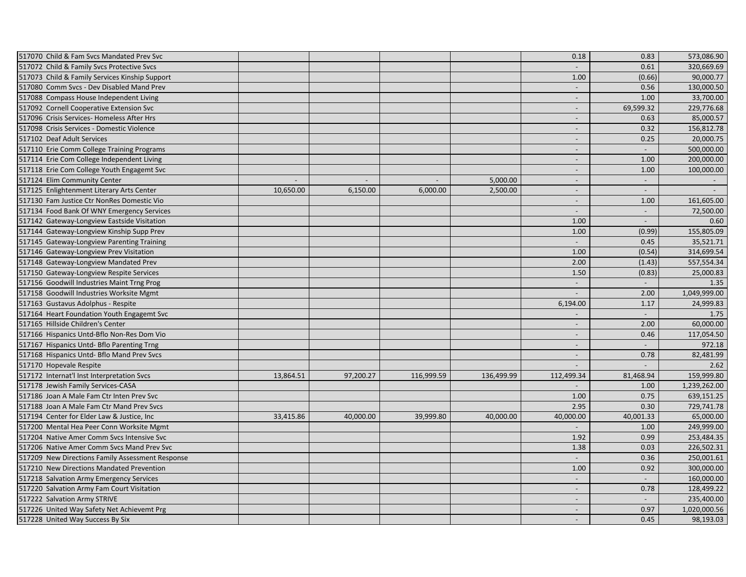| 517070 Child & Fam Svcs Mandated Prev Svc        |                             |           |            |            | 0.18                     | 0.83                     | 573,086.90   |
|--------------------------------------------------|-----------------------------|-----------|------------|------------|--------------------------|--------------------------|--------------|
| 517072 Child & Family Svcs Protective Svcs       |                             |           |            |            |                          | 0.61                     | 320,669.69   |
| 517073 Child & Family Services Kinship Support   |                             |           |            |            | 1.00                     | (0.66)                   | 90,000.77    |
| 517080 Comm Svcs - Dev Disabled Mand Prev        |                             |           |            |            | $\overline{\phantom{a}}$ | 0.56                     | 130,000.50   |
| 517088 Compass House Independent Living          |                             |           |            |            | $\sim$                   | 1.00                     | 33,700.00    |
| 517092 Cornell Cooperative Extension Svc         |                             |           |            |            | $\overline{\phantom{a}}$ | 69,599.32                | 229,776.68   |
| 517096 Crisis Services- Homeless After Hrs       |                             |           |            |            |                          | 0.63                     | 85,000.57    |
| 517098 Crisis Services - Domestic Violence       |                             |           |            |            | $\overline{\phantom{a}}$ | 0.32                     | 156,812.78   |
| 517102 Deaf Adult Services                       |                             |           |            |            | $\overline{\phantom{a}}$ | 0.25                     | 20,000.75    |
| 517110 Erie Comm College Training Programs       |                             |           |            |            | $\sim$                   |                          | 500,000.00   |
| 517114 Erie Com College Independent Living       |                             |           |            |            | $\overline{\phantom{a}}$ | 1.00                     | 200,000.00   |
| 517118 Erie Com College Youth Engagemt Svc       |                             |           |            |            | $\overline{\phantom{a}}$ | 1.00                     | 100,000.00   |
| 517124 Elim Community Center                     | $\mathcal{L}_{\mathcal{A}}$ | $\Box$    |            | 5,000.00   | $\blacksquare$           | $\Box$                   | $\sim$       |
| 517125 Enlightenment Literary Arts Center        | 10,650.00                   | 6,150.00  | 6,000.00   | 2,500.00   | $\sim$                   | $\overline{a}$           |              |
| 517130 Fam Justice Ctr NonRes Domestic Vio       |                             |           |            |            | $\sim$                   | 1.00                     | 161,605.00   |
| 517134 Food Bank Of WNY Emergency Services       |                             |           |            |            | $\overline{a}$           | $\overline{\phantom{a}}$ | 72,500.00    |
| 517142 Gateway-Longview Eastside Visitation      |                             |           |            |            | 1.00                     | $\overline{\phantom{a}}$ | 0.60         |
| 517144 Gateway-Longview Kinship Supp Prev        |                             |           |            |            | 1.00                     | (0.99)                   | 155,805.09   |
| 517145 Gateway-Longview Parenting Training       |                             |           |            |            | $\sim$                   | 0.45                     | 35,521.71    |
| 517146 Gateway-Longview Prev Visitation          |                             |           |            |            | 1.00                     | (0.54)                   | 314,699.54   |
| 517148 Gateway-Longview Mandated Prev            |                             |           |            |            | 2.00                     | (1.43)                   | 557,554.34   |
| 517150 Gateway-Longview Respite Services         |                             |           |            |            | 1.50                     | (0.83)                   | 25,000.83    |
| 517156 Goodwill Industries Maint Trng Prog       |                             |           |            |            | $\sim$                   | $\sim$                   | 1.35         |
| 517158 Goodwill Industries Worksite Mgmt         |                             |           |            |            | $\overline{\phantom{a}}$ | 2.00                     | 1,049,999.00 |
| 517163 Gustavus Adolphus - Respite               |                             |           |            |            | 6,194.00                 | 1.17                     | 24,999.83    |
| 517164 Heart Foundation Youth Engagemt Svc       |                             |           |            |            | $\blacksquare$           | $\mathbb{L}$             | 1.75         |
| 517165 Hillside Children's Center                |                             |           |            |            | $\sim$                   | 2.00                     | 60,000.00    |
| 517166 Hispanics Untd-Bflo Non-Res Dom Vio       |                             |           |            |            | $\sim$                   | 0.46                     | 117,054.50   |
| 517167 Hispanics Untd- Bflo Parenting Trng       |                             |           |            |            | $\sim$                   |                          | 972.18       |
| 517168 Hispanics Untd- Bflo Mand Prev Svcs       |                             |           |            |            | $\overline{\phantom{a}}$ | 0.78                     | 82,481.99    |
| 517170 Hopevale Respite                          |                             |           |            |            |                          |                          | 2.62         |
| 517172 Internat'l Inst Interpretation Svcs       | 13,864.51                   | 97,200.27 | 116,999.59 | 136,499.99 | 112,499.34               | 81,468.94                | 159,999.80   |
| 517178 Jewish Family Services-CASA               |                             |           |            |            |                          | 1.00                     | 1,239,262.00 |
| 517186 Joan A Male Fam Ctr Inten Prev Svc        |                             |           |            |            | 1.00                     | 0.75                     | 639,151.25   |
| 517188 Joan A Male Fam Ctr Mand Prev Svcs        |                             |           |            |            | 2.95                     | 0.30                     | 729,741.78   |
| 517194 Center for Elder Law & Justice, Inc       | 33,415.86                   | 40,000.00 | 39,999.80  | 40,000.00  | 40,000.00                | 40,001.33                | 65,000.00    |
| 517200 Mental Hea Peer Conn Worksite Mgmt        |                             |           |            |            |                          | 1.00                     | 249,999.00   |
| 517204 Native Amer Comm Svcs Intensive Svc       |                             |           |            |            | 1.92                     | 0.99                     | 253,484.35   |
| 517206 Native Amer Comm Svcs Mand Prev Svc       |                             |           |            |            | 1.38                     | 0.03                     | 226,502.31   |
| 517209 New Directions Family Assessment Response |                             |           |            |            | $\sim$                   | 0.36                     | 250,001.61   |
| 517210 New Directions Mandated Prevention        |                             |           |            |            | 1.00                     | 0.92                     | 300,000.00   |
| 517218 Salvation Army Emergency Services         |                             |           |            |            | $\overline{\phantom{a}}$ |                          | 160,000.00   |
| 517220 Salvation Army Fam Court Visitation       |                             |           |            |            | $\overline{\phantom{a}}$ | 0.78                     | 128,499.22   |
| 517222 Salvation Army STRIVE                     |                             |           |            |            | $\sim$                   | $\overline{\phantom{a}}$ | 235,400.00   |
| 517226 United Way Safety Net Achievemt Prg       |                             |           |            |            | $\sim$                   | 0.97                     | 1,020,000.56 |
| 517228 United Way Success By Six                 |                             |           |            |            | $\overline{\phantom{a}}$ | 0.45                     | 98,193.03    |
|                                                  |                             |           |            |            |                          |                          |              |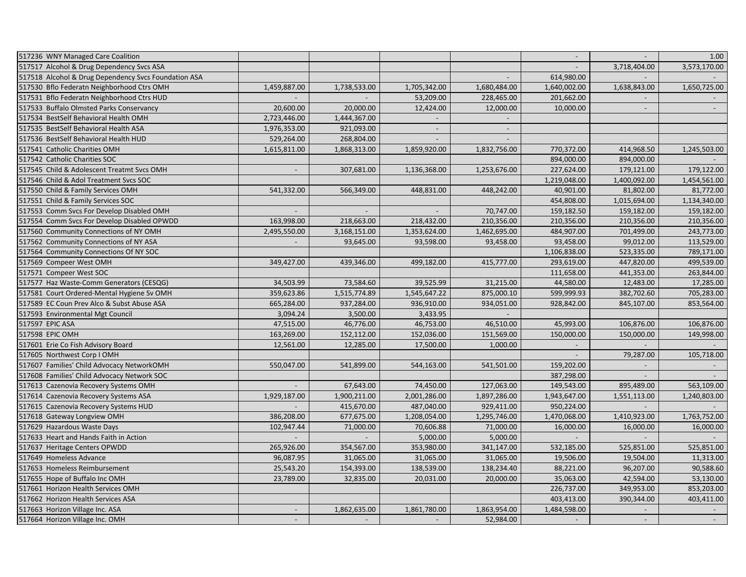| 517236 WNY Managed Care Coalition                    |                          |              |                          |                             | $\sim$       |                          | 1.00           |
|------------------------------------------------------|--------------------------|--------------|--------------------------|-----------------------------|--------------|--------------------------|----------------|
| 517517 Alcohol & Drug Dependency Svcs ASA            |                          |              |                          |                             |              | 3,718,404.00             | 3,573,170.00   |
| 517518 Alcohol & Drug Dependency Svcs Foundation ASA |                          |              |                          | $\blacksquare$              | 614,980.00   |                          |                |
| 517530 Bflo Federatn Neighborhood Ctrs OMH           | 1,459,887.00             | 1,738,533.00 | 1,705,342.00             | 1,680,484.00                | 1,640,002.00 | 1,638,843.00             | 1,650,725.00   |
| 517531 Bflo Federatn Neighborhood Ctrs HUD           |                          |              | 53,209.00                | 228,465.00                  | 201,662.00   |                          |                |
| 517533 Buffalo Olmsted Parks Conservancy             | 20,600.00                | 20,000.00    | 12,424.00                | 12,000.00                   | 10,000.00    | $\overline{\phantom{a}}$ |                |
| 517534 BestSelf Behavioral Health OMH                | 2,723,446.00             | 1,444,367.00 |                          |                             |              |                          |                |
| 517535 BestSelf Behavioral Health ASA                | 1,976,353.00             | 921,093.00   | $\overline{\phantom{a}}$ | $\sim$                      |              |                          |                |
| 517536 BestSelf Behavioral Health HUD                | 529,264.00               | 268,804.00   |                          |                             |              |                          |                |
| 517541 Catholic Charities OMH                        | 1,615,811.00             | 1,868,313.00 | 1,859,920.00             | 1,832,756.00                | 770,372.00   | 414,968.50               | 1,245,503.00   |
| 517542 Catholic Charities SOC                        |                          |              |                          |                             | 894,000.00   | 894,000.00               |                |
| 517545 Child & Adolescent Treatmt Svcs OMH           | $\overline{\phantom{a}}$ | 307,681.00   | 1,136,368.00             | 1,253,676.00                | 227,624.00   | 179,121.00               | 179,122.00     |
| 517546 Child & Adol Treatment Svcs SOC               |                          |              |                          |                             | 1,219,048.00 | 1,400,092.00             | 1,454,561.00   |
| 517550 Child & Family Services OMH                   | 541,332.00               | 566,349.00   | 448,831.00               | 448,242.00                  | 40,901.00    | 81,802.00                | 81,772.00      |
| 517551 Child & Family Services SOC                   |                          |              |                          |                             | 454,808.00   | 1,015,694.00             | 1,134,340.00   |
| 517553 Comm Svcs For Develop Disabled OMH            |                          |              |                          | 70,747.00                   | 159,182.50   | 159,182.00               | 159,182.00     |
| 517554 Comm Svcs For Develop Disabled OPWDD          | 163,998.00               | 218,663.00   | 218,432.00               | 210,356.00                  | 210,356.00   | 210,356.00               | 210,356.00     |
| 517560 Community Connections of NY OMH               | 2,495,550.00             | 3,168,151.00 | 1,353,624.00             | 1,462,695.00                | 484,907.00   | 701,499.00               | 243,773.00     |
| 517562 Community Connections of NY ASA               |                          | 93,645.00    | 93,598.00                | 93,458.00                   | 93,458.00    | 99,012.00                | 113,529.00     |
| 517564 Community Connections Of NY SOC               |                          |              |                          |                             | 1,106,838.00 | 523,335.00               | 789,171.00     |
| 517569 Compeer West OMH                              | 349,427.00               | 439,346.00   | 499,182.00               | 415,777.00                  | 293,619.00   | 447,820.00               | 499,539.00     |
| 517571 Compeer West SOC                              |                          |              |                          |                             | 111,658.00   | 441,353.00               | 263,844.00     |
| 517577 Haz Waste-Comm Generators (CESQG)             | 34,503.99                | 73,584.60    | 39,525.99                | 31,215.00                   | 44,580.00    | 12,483.00                | 17,285.00      |
| 517581 Court Ordered-Mental Hygiene Sv OMH           | 359,623.86               | 1,515,774.89 | 1,545,647.22             | 875,000.10                  | 599,999.93   | 382,702.60               | 705,283.00     |
| 517589 EC Coun Prev Alco & Subst Abuse ASA           | 665,284.00               | 937,284.00   | 936,910.00               | 934,051.00                  | 928,842.00   | 845,107.00               | 853,564.00     |
| 517593 Environmental Mgt Council                     | 3,094.24                 | 3,500.00     | 3,433.95                 | $\mathcal{L}_{\mathcal{A}}$ |              |                          |                |
| 517597 EPIC ASA                                      | 47,515.00                | 46,776.00    | 46,753.00                | 46,510.00                   | 45,993.00    | 106,876.00               | 106,876.00     |
| 517598 EPIC OMH                                      | 163,269.00               | 152,112.00   | 152,036.00               | 151,569.00                  | 150,000.00   | 150,000.00               | 149,998.00     |
| 517601 Erie Co Fish Advisory Board                   | 12,561.00                | 12,285.00    | 17,500.00                | 1,000.00                    |              |                          |                |
| 517605 Northwest Corp I OMH                          |                          |              |                          |                             |              | 79,287.00                | 105,718.00     |
| 517607 Families' Child Advocacy NetworkOMH           | 550,047.00               | 541,899.00   | 544,163.00               | 541,501.00                  | 159,202.00   |                          |                |
| 517608 Families' Child Advocacy Network SOC          |                          |              |                          |                             | 387,298.00   |                          |                |
| 517613 Cazenovia Recovery Systems OMH                |                          | 67,643.00    | 74,450.00                | 127,063.00                  | 149,543.00   | 895,489.00               | 563,109.00     |
| 517614 Cazenovia Recovery Systems ASA                | 1,929,187.00             | 1,900,211.00 | 2,001,286.00             | 1,897,286.00                | 1,943,647.00 | 1,551,113.00             | 1,240,803.00   |
| 517615 Cazenovia Recovery Systems HUD                |                          | 415,670.00   | 487,040.00               | 929,411.00                  | 950,224.00   | $\sim$                   |                |
| 517618 Gateway Longview OMH                          | 386,208.00               | 677,675.00   | 1,208,054.00             | 1,295,746.00                | 1,470,068.00 | 1,410,923.00             | 1,763,752.00   |
| 517629 Hazardous Waste Days                          | 102,947.44               | 71,000.00    | 70,606.88                | 71,000.00                   | 16,000.00    | 16,000.00                | 16,000.00      |
| 517633 Heart and Hands Faith in Action               |                          |              | 5,000.00                 | 5,000.00                    |              |                          |                |
| 517637 Heritage Centers OPWDD                        | 265,926.00               | 354,567.00   | 353,980.00               | 341,147.00                  | 532,185.00   | 525,851.00               | 525,851.00     |
| 517649 Homeless Advance                              | 96,087.95                | 31,065.00    | 31,065.00                | 31,065.00                   | 19,506.00    | 19,504.00                | 11,313.00      |
| 517653 Homeless Reimbursement                        | 25,543.20                | 154,393.00   | 138,539.00               | 138,234.40                  | 88,221.00    | 96,207.00                | 90,588.60      |
| 517655 Hope of Buffalo Inc OMH                       | 23,789.00                | 32,835.00    | 20,031.00                | 20,000.00                   | 35,063.00    | 42,594.00                | 53,130.00      |
| 517661 Horizon Health Services OMH                   |                          |              |                          |                             | 226,737.00   | 349,953.00               | 853,203.00     |
| 517662 Horizon Health Services ASA                   |                          |              |                          |                             | 403,413.00   | 390,344.00               | 403,411.00     |
| 517663 Horizon Village Inc. ASA                      | $\blacksquare$           | 1,862,635.00 | 1,861,780.00             | 1,863,954.00                | 1,484,598.00 |                          |                |
| 517664 Horizon Village Inc. OMH                      | $\mathbb{L}$             |              |                          | 52,984.00                   |              |                          | $\mathbb{L}^2$ |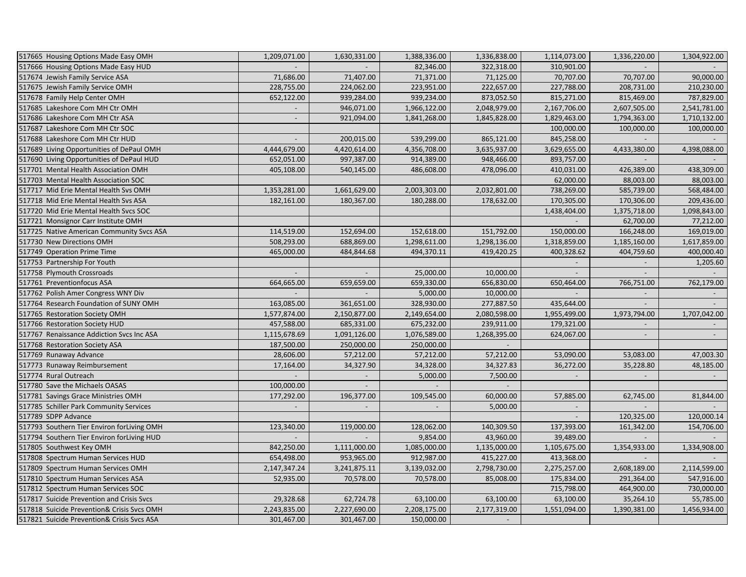| 517665 Housing Options Made Easy OMH       | 1,209,071.00             | 1,630,331.00             | 1,388,336.00 | 1,336,838.00   | 1,114,073.00             | 1,336,220.00             | 1,304,922.00             |
|--------------------------------------------|--------------------------|--------------------------|--------------|----------------|--------------------------|--------------------------|--------------------------|
| 517666 Housing Options Made Easy HUD       |                          |                          | 82,346.00    | 322,318.00     | 310,901.00               |                          |                          |
| 517674 Jewish Family Service ASA           | 71,686.00                | 71,407.00                | 71,371.00    | 71,125.00      | 70,707.00                | 70,707.00                | 90,000.00                |
| 517675 Jewish Family Service OMH           | 228,755.00               | 224,062.00               | 223,951.00   | 222,657.00     | 227,788.00               | 208,731.00               | 210,230.00               |
| 517678 Family Help Center OMH              | 652,122.00               | 939,284.00               | 939,234.00   | 873,052.50     | 815,271.00               | 815,469.00               | 787,829.00               |
| 517685 Lakeshore Com MH Ctr OMH            |                          | 946,071.00               | 1,966,122.00 | 2,048,979.00   | 2,167,706.00             | 2,607,505.00             | 2,541,781.00             |
| 517686 Lakeshore Com MH Ctr ASA            |                          | 921,094.00               | 1,841,268.00 | 1,845,828.00   | 1,829,463.00             | 1,794,363.00             | 1,710,132.00             |
| 517687 Lakeshore Com MH Ctr SOC            |                          |                          |              |                | 100,000.00               | 100,000.00               | 100,000.00               |
| 517688 Lakeshore Com MH Ctr HUD            |                          | 200,015.00               | 539,299.00   | 865,121.00     | 845,258.00               |                          |                          |
| 517689 Living Opportunities of DePaul OMH  | 4,444,679.00             | 4,420,614.00             | 4,356,708.00 | 3,635,937.00   | 3,629,655.00             | 4,433,380.00             | 4,398,088.00             |
| 517690 Living Opportunities of DePaul HUD  | 652,051.00               | 997,387.00               | 914,389.00   | 948,466.00     | 893,757.00               |                          |                          |
| 517701 Mental Health Association OMH       | 405,108.00               | 540,145.00               | 486,608.00   | 478,096.00     | 410,031.00               | 426,389.00               | 438,309.00               |
| 517703 Mental Health Association SOC       |                          |                          |              |                | 62,000.00                | 88,003.00                | 88,003.00                |
| 517717 Mid Erie Mental Health Svs OMH      | 1,353,281.00             | 1,661,629.00             | 2,003,303.00 | 2,032,801.00   | 738,269.00               | 585,739.00               | 568,484.00               |
| 517718 Mid Erie Mental Health Svs ASA      | 182,161.00               | 180,367.00               | 180,288.00   | 178,632.00     | 170,305.00               | 170,306.00               | 209,436.00               |
| 517720 Mid Erie Mental Health Svcs SOC     |                          |                          |              |                | 1,438,404.00             | 1,375,718.00             | 1,098,843.00             |
| 517721 Monsignor Carr Institute OMH        |                          |                          |              |                |                          | 62,700.00                | 77,212.00                |
| 517725 Native American Community Svcs ASA  | 114,519.00               | 152,694.00               | 152,618.00   | 151,792.00     | 150,000.00               | 166,248.00               | 169,019.00               |
| 517730 New Directions OMH                  | 508,293.00               | 688,869.00               | 1,298,611.00 | 1,298,136.00   | 1,318,859.00             | 1,185,160.00             | 1,617,859.00             |
| 517749 Operation Prime Time                | 465,000.00               | 484,844.68               | 494,370.11   | 419,420.25     | 400,328.62               | 404,759.60               | 400,000.40               |
| 517753 Partnership For Youth               |                          |                          |              |                |                          |                          | 1,205.60                 |
| 517758 Plymouth Crossroads                 | $\overline{\phantom{a}}$ |                          | 25,000.00    | 10,000.00      |                          |                          |                          |
| 517761 Preventionfocus ASA                 | 664,665.00               | 659,659.00               | 659,330.00   | 656,830.00     | 650,464.00               | 766,751.00               | 762,179.00               |
| 517762 Polish Amer Congress WNY Div        | $\sim$                   | $\sim$                   | 5,000.00     | 10,000.00      | $\sim$                   | $\overline{\phantom{a}}$ | $\overline{\phantom{a}}$ |
| 517764 Research Foundation of SUNY OMH     | 163,085.00               | 361,651.00               | 328,930.00   | 277,887.50     | 435,644.00               |                          |                          |
| 517765 Restoration Society OMH             | 1,577,874.00             | 2,150,877.00             | 2,149,654.00 | 2,080,598.00   | 1,955,499.00             | 1,973,794.00             | 1,707,042.00             |
| 517766 Restoration Society HUD             | 457,588.00               | 685,331.00               | 675,232.00   | 239,911.00     | 179,321.00               |                          |                          |
| 517767 Renaissance Addiction Svcs Inc ASA  | 1,115,678.69             | 1,091,126.00             | 1,076,589.00 | 1,268,395.00   | 624,067.00               | $\blacksquare$           | $\sim$                   |
| 517768 Restoration Society ASA             | 187,500.00               | 250,000.00               | 250,000.00   |                |                          |                          |                          |
| 517769 Runaway Advance                     | 28,606.00                | 57,212.00                | 57,212.00    | 57,212.00      | 53,090.00                | 53,083.00                | 47,003.30                |
| 517773 Runaway Reimbursement               | 17,164.00                | 34,327.90                | 34,328.00    | 34,327.83      | 36,272.00                | 35,228.80                | 48,185.00                |
| 517774 Rural Outreach                      |                          |                          | 5,000.00     | 7,500.00       | $\sim$                   | $\overline{\phantom{a}}$ |                          |
| 517780 Save the Michaels OASAS             | 100,000.00               |                          |              | $\overline{a}$ |                          |                          |                          |
| 517781 Savings Grace Ministries OMH        | 177,292.00               | 196,377.00               | 109,545.00   | 60,000.00      | 57,885.00                | 62,745.00                | 81,844.00                |
| 517785 Schiller Park Community Services    | $\overline{\phantom{a}}$ | $\overline{\phantom{a}}$ |              | 5,000.00       | $\overline{\phantom{a}}$ |                          |                          |
| 517789 SDPP Advance                        |                          |                          |              |                | $\mathcal{L}$            | 120,325.00               | 120,000.14               |
| 517793 Southern Tier Environ forLiving OMH | 123,340.00               | 119,000.00               | 128,062.00   | 140,309.50     | 137,393.00               | 161,342.00               | 154,706.00               |
| 517794 Southern Tier Environ forLiving HUD |                          |                          | 9,854.00     | 43,960.00      | 39,489.00                |                          |                          |
| 517805 Southwest Key OMH                   | 842,250.00               | 1,111,000.00             | 1,085,000.00 | 1,135,000.00   | 1,105,675.00             | 1,354,933.00             | 1,334,908.00             |
| 517808 Spectrum Human Services HUD         | 654,498.00               | 953,965.00               | 912,987.00   | 415,227.00     | 413,368.00               | $\overline{\phantom{a}}$ |                          |
| 517809 Spectrum Human Services OMH         | 2,147,347.24             | 3,241,875.11             | 3,139,032.00 | 2,798,730.00   | 2,275,257.00             | 2,608,189.00             | 2,114,599.00             |
| 517810 Spectrum Human Services ASA         | 52,935.00                | 70,578.00                | 70,578.00    | 85,008.00      | 175,834.00               | 291,364.00               | 547,916.00               |
| 517812 Spectrum Human Services SOC         |                          |                          |              |                | 715,798.00               | 464,900.00               | 730,000.00               |
| 517817 Suicide Prevention and Crisis Svcs  | 29,328.68                | 62,724.78                | 63,100.00    | 63,100.00      | 63,100.00                | 35,264.10                | 55,785.00                |
| 517818 Suicide Prevention& Crisis Svcs OMH | 2,243,835.00             | 2,227,690.00             | 2,208,175.00 | 2,177,319.00   | 1,551,094.00             | 1,390,381.00             | 1,456,934.00             |
| 517821 Suicide Prevention& Crisis Svcs ASA | 301,467.00               | 301,467.00               | 150,000.00   |                |                          |                          |                          |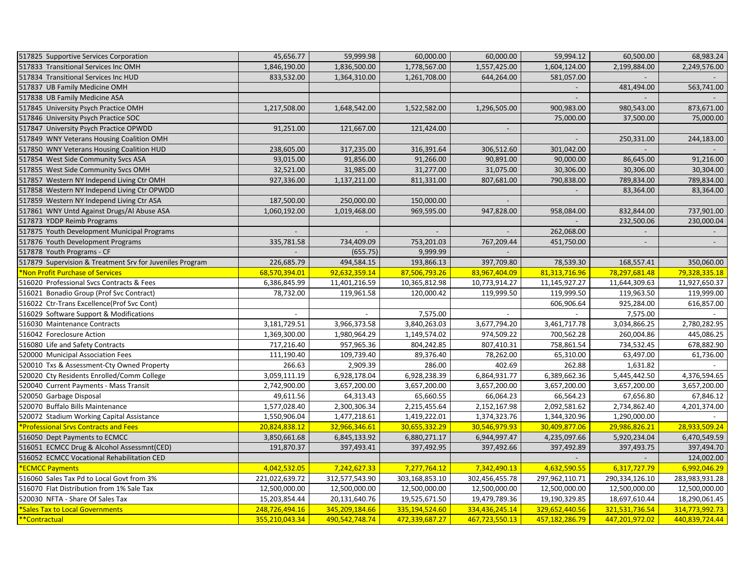| 517825 Supportive Services Corporation                   | 45,656.77      | 59,999.98      | 60,000.00      | 60,000.00                | 59,994.12                | 60,500.00      | 68,983.24      |
|----------------------------------------------------------|----------------|----------------|----------------|--------------------------|--------------------------|----------------|----------------|
| 517833 Transitional Services Inc OMH                     | 1,846,190.00   | 1,836,500.00   | 1,778,567.00   | 1,557,425.00             | 1,604,124.00             | 2,199,884.00   | 2,249,576.00   |
| 517834 Transitional Services Inc HUD                     | 833,532.00     | 1,364,310.00   | 1,261,708.00   | 644,264.00               | 581,057.00               |                |                |
| 517837 UB Family Medicine OMH                            |                |                |                |                          | $\overline{\phantom{a}}$ | 481,494.00     | 563,741.00     |
| 517838 UB Family Medicine ASA                            |                |                |                |                          |                          |                |                |
| 517845 University Psych Practice OMH                     | 1,217,508.00   | 1,648,542.00   | 1,522,582.00   | 1,296,505.00             | 900,983.00               | 980,543.00     | 873,671.00     |
| 517846 University Psych Practice SOC                     |                |                |                |                          | 75,000.00                | 37,500.00      | 75,000.00      |
| 517847 University Psych Practice OPWDD                   | 91,251.00      | 121,667.00     | 121,424.00     |                          |                          |                |                |
| 517849 WNY Veterans Housing Coalition OMH                |                |                |                |                          | $\sim$                   | 250,331.00     | 244,183.00     |
| 517850 WNY Veterans Housing Coalition HUD                | 238,605.00     | 317,235.00     | 316,391.64     | 306,512.60               | 301,042.00               |                |                |
| 517854 West Side Community Svcs ASA                      | 93,015.00      | 91,856.00      | 91,266.00      | 90,891.00                | 90,000.00                | 86,645.00      | 91,216.00      |
| 517855 West Side Community Svcs OMH                      | 32,521.00      | 31,985.00      | 31,277.00      | 31,075.00                | 30,306.00                | 30,306.00      | 30,304.00      |
| 517857 Western NY Independ Living Ctr OMH                | 927,336.00     | 1,137,211.00   | 811,331.00     | 807,681.00               | 790,838.00               | 789,834.00     | 789,834.00     |
| 517858 Western NY Independ Living Ctr OPWDD              |                |                |                |                          |                          | 83,364.00      | 83,364.00      |
| 517859 Western NY Independ Living Ctr ASA                | 187,500.00     | 250,000.00     | 150,000.00     |                          |                          |                |                |
| 517861 WNY Untd Against Drugs/Al Abuse ASA               | 1,060,192.00   | 1,019,468.00   | 969,595.00     | 947,828.00               | 958,084.00               | 832,844.00     | 737,901.00     |
| 517873 YDDP Reimb Programs                               |                |                |                |                          |                          | 232,500.06     | 230,000.04     |
| 517875 Youth Development Municipal Programs              |                |                |                | $\overline{\phantom{a}}$ | 262,068.00               |                |                |
| 517876 Youth Development Programs                        | 335,781.58     | 734,409.09     | 753,201.03     | 767,209.44               | 451,750.00               |                |                |
| 517878 Youth Programs - CF                               | $\sim$         | (655.75)       | 9,999.99       | $\mathcal{L}$            |                          |                |                |
| 517879 Supervision & Treatment Srv for Juveniles Program | 226,685.79     | 494,584.15     | 193,866.13     | 397,709.80               | 78,539.30                | 168,557.41     | 350,060.00     |
| Non Profit Purchase of Services                          | 68,570,394.01  | 92,632,359.14  | 87,506,793.26  | 83,967,404.09            | 81,313,716.96            | 78,297,681.48  | 79,328,335.18  |
| 516020 Professional Svcs Contracts & Fees                | 6,386,845.99   | 11,401,216.59  | 10,365,812.98  | 10,773,914.27            | 11,145,927.27            | 11,644,309.63  | 11,927,650.37  |
| 516021 Bonadio Group (Prof Svc Contract)                 | 78,732.00      | 119,961.58     | 120,000.42     | 119,999.50               | 119,999.50               | 119,963.50     | 119,999.00     |
| 516022 Ctr-Trans Excellence(Prof Svc Cont)               |                |                |                |                          | 606,906.64               | 925,284.00     | 616,857.00     |
| 516029 Software Support & Modifications                  |                |                | 7,575.00       |                          |                          | 7,575.00       |                |
|                                                          |                |                |                |                          |                          |                |                |
| 516030 Maintenance Contracts                             | 3,181,729.51   | 3,966,373.58   | 3,840,263.03   | 3,677,794.20             | 3,461,717.78             | 3,034,866.25   | 2,780,282.95   |
| 516042 Foreclosure Action                                | 1,369,300.00   | 1,980,964.29   | 1,149,574.02   | 974,509.22               | 700,562.28               | 260,004.86     | 445,086.25     |
| 516080 Life and Safety Contracts                         | 717,216.40     | 957,965.36     | 804,242.85     | 807,410.31               | 758,861.54               | 734,532.45     | 678,882.90     |
| 520000 Municipal Association Fees                        | 111,190.40     | 109,739.40     | 89,376.40      | 78,262.00                | 65,310.00                | 63,497.00      | 61,736.00      |
| 520010 Txs & Assessment-Cty Owned Property               | 266.63         | 2,909.39       | 286.00         | 402.69                   | 262.88                   | 1,631.82       |                |
| 520020 Cty Residents Enrolled/Comm College               | 3,059,111.19   | 6,928,178.04   | 6,928,238.39   | 6,864,931.77             | 6,389,662.36             | 5,445,442.50   | 4,376,594.65   |
| 520040 Current Payments - Mass Transit                   | 2,742,900.00   | 3,657,200.00   | 3,657,200.00   | 3,657,200.00             | 3,657,200.00             | 3,657,200.00   | 3,657,200.00   |
| 520050 Garbage Disposal                                  | 49,611.56      | 64,313.43      | 65,660.55      | 66,064.23                | 66,564.23                | 67,656.80      | 67,846.12      |
| 520070 Buffalo Bills Maintenance                         | 1,577,028.40   | 2,300,306.34   | 2,215,455.64   | 2,152,167.98             | 2,092,581.62             | 2,734,862.40   | 4,201,374.00   |
| 520072 Stadium Working Capital Assistance                | 1,550,906.04   | 1,477,218.61   | 1,419,222.01   | 1,374,323.76             | 1,344,320.96             | 1,290,000.00   |                |
| *Professional Srvs Contracts and Fees                    | 20,824,838.12  | 32,966,346.61  | 30,655,332.29  | 30,546,979.93            | 30,409,877.06            | 29,986,826.21  | 28,933,509.24  |
| 516050 Dept Payments to ECMCC                            | 3,850,661.68   | 6,845,133.92   | 6,880,271.17   | 6,944,997.47             | 4,235,097.66             | 5,920,234.04   | 6,470,549.59   |
| 516051 ECMCC Drug & Alcohol Assessmnt(CED)               | 191,870.37     | 397,493.41     | 397,492.95     | 397,492.66               | 397,492.89               | 397,493.75     | 397,494.70     |
| 516052 ECMCC Vocational Rehabilitation CED               |                |                |                |                          |                          | $\sim$         | 124,002.00     |
| <b>ECMCC Payments</b>                                    | 4,042,532.05   | 7,242,627.33   | 7,277,764.12   | 7,342,490.13             | 4,632,590.55             | 6,317,727.79   | 6,992,046.29   |
| 516060 Sales Tax Pd to Local Govt from 3%                | 221,022,639.72 | 312,577,543.90 | 303,168,853.10 | 302,456,455.78           | 297,962,110.71           | 290,334,126.10 | 283,983,931.28 |
| 516070 Flat Distribution from 1% Sale Tax                | 12,500,000.00  | 12,500,000.00  | 12,500,000.00  | 12,500,000.00            | 12,500,000.00            | 12,500,000.00  | 12,500,000.00  |
| 520030 NFTA - Share Of Sales Tax                         | 15,203,854.44  | 20,131,640.76  | 19,525,671.50  | 19,479,789.36            | 19,190,329.85            | 18,697,610.44  | 18,290,061.45  |
| <b>Sales Tax to Local Governments</b>                    | 248,726,494.16 | 345,209,184.66 | 335,194,524.60 | 334,436,245.14           | 329,652,440.56           | 321,531,736.54 | 314,773,992.73 |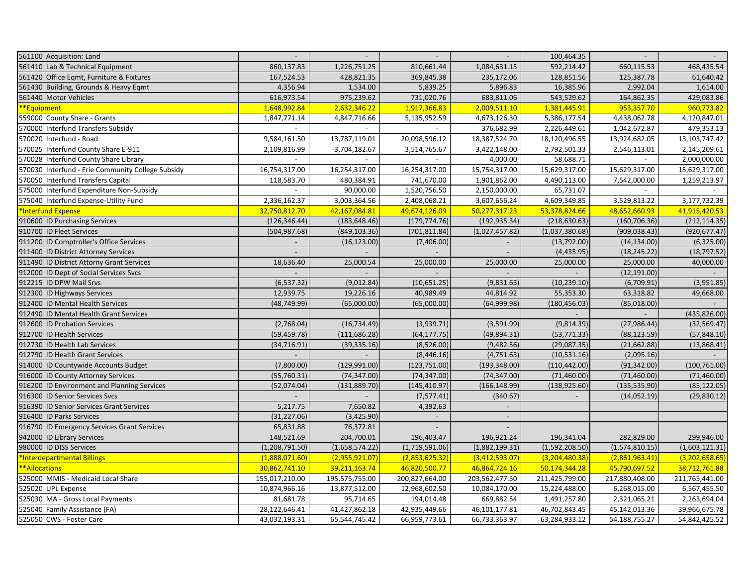| 561100 Acquisition: Land                          |                |                          |                | $\mathcal{L}^{\mathcal{A}}$ | 100,464.35       |                  |                  |
|---------------------------------------------------|----------------|--------------------------|----------------|-----------------------------|------------------|------------------|------------------|
| 561410 Lab & Technical Equipment                  | 860,137.83     | 1,226,751.25             | 810,661.44     | 1,084,631.15                | 592,214.42       | 660,115.53       | 468,435.54       |
| 561420 Office Eqmt, Furniture & Fixtures          | 167,524.53     | 428,821.35               | 369,845.38     | 235,172.06                  | 128,851.56       | 125,387.78       | 61,640.42        |
| 561430 Building, Grounds & Heavy Eqmt             | 4,356.94       | 1,534.00                 | 5,839.25       | 5,896.83                    | 16,385.96        | 2,992.04         | 1,614.00         |
| 561440 Motor Vehicles                             | 616,973.54     | 975,239.62               | 731,020.76     | 683,811.06                  | 543,529.62       | 164,862.35       | 429,083.86       |
| **Equipment                                       | 1,648,992.84   | 2,632,346.22             | 1,917,366.83   | 2,009,511.10                | 1,381,445.91     | 953,357.70       | 960,773.82       |
| 559000 County Share - Grants                      | 1,847,771.14   | 4,847,716.66             | 5,135,952.59   | 4,673,126.30                | 5,386,177.54     | 4,438,062.78     | 4,120,847.01     |
| 570000 Interfund Transfers Subsidy                | $\sim$         | $\overline{\phantom{a}}$ |                | 376,682.99                  | 2,226,449.61     | 1,042,672.87     | 479,353.13       |
| 570020 Interfund - Road                           | 9,584,161.50   | 13,787,119.01            | 20,098,596.12  | 18,387,524.70               | 18,120,496.55    | 13,924,682.05    | 13, 103, 747. 42 |
| 570025 Interfund County Share E-911               | 2,109,816.99   | 3,704,182.67             | 3,514,765.67   | 3,422,148.00                | 2,792,501.33     | 2,546,113.01     | 2,145,209.61     |
| 570028 Interfund County Share Library             |                |                          |                | 4,000.00                    | 58,688.71        |                  | 2,000,000.00     |
| 570030 Interfund - Erie Community College Subsidy | 16,754,317.00  | 16,254,317.00            | 16,254,317.00  | 15,754,317.00               | 15,629,317.00    | 15,629,317.00    | 15,629,317.00    |
| 570050 Interfund Transfers Capital                | 118,583.70     | 480,384.91               | 741,670.00     | 1,901,862.00                | 4,490,113.00     | 7,542,000.00     | 1,259,213.97     |
| 575000 Interfund Expenditure Non-Subsidy          |                | 90,000.00                | 1,520,756.50   | 2,150,000.00                | 65,731.07        |                  |                  |
| 575040 Interfund Expense-Utility Fund             | 2,336,162.37   | 3,003,364.56             | 2,408,068.21   | 3,607,656.24                | 4,609,349.85     | 3,529,813.22     | 3,177,732.39     |
| Interfund Expense                                 | 32,750,812.70  | 42,167,084.81            | 49,674,126.09  | 50,277,317.23               | 53,378,824.66    | 48,652,660.93    | 41,915,420.53    |
| 910600 ID Purchasing Services                     | (126, 346.44)  | (183, 648.46)            | (179, 774.76)  | (192, 935.34)               | (218, 630.63)    | (160, 706.36)    | (212, 114.35)    |
| 910700 ID Fleet Services                          | (504, 987.68)  | (849, 103.36)            | (701, 811.84)  | (1,027,457.82)              | (1,037,380.68)   | (909, 038.43)    | (920, 677.47)    |
| 911200 ID Comptroller's Office Services           |                | (16, 123.00)             | (7,406.00)     |                             | (13,792.00)      | (14, 134.00)     | (6,325.00)       |
| 911400 ID District Attorney Services              |                |                          |                |                             | (4,435.95)       | (18, 245.22)     | (18, 797.52)     |
| 911490 ID District Attorny Grant Services         | 18,636.40      | 25,000.54                | 25,000.00      | 25,000.00                   | 25,000.00        | 25,000.00        | 40,000.00        |
| 912000 ID Dept of Social Services Svcs            |                |                          |                |                             |                  | (12, 191.00)     |                  |
| 912215 ID DPW Mail Srvs                           | (6, 537.32)    | (9,012.84)               | (10,651.25)    | (9,831.63)                  | (10, 239.10)     | (6,709.91)       | (3,951.85)       |
|                                                   | 12,939.75      | 19,226.16                | 40,989.49      | 44,814.92                   |                  | 63,318.82        |                  |
| 912300 ID Highways Services                       |                |                          |                |                             | 55,353.30        |                  | 49,668.00        |
| 912400 ID Mental Health Services                  | (48, 749.99)   | (65,000.00)              | (65,000.00)    | (64,999.98)                 | (180, 456.03)    | (85,018.00)      |                  |
| 912490 ID Mental Health Grant Services            |                |                          |                |                             |                  |                  | (435, 826.00)    |
| 912600 ID Probation Services                      | (2,768.04)     | (16, 734.49)             | (3,939.71)     | (3,591.99)                  | (9,814.39)       | (27, 986.44)     | (32, 569.47)     |
| 912700 ID Health Services                         | (59, 459.78)   | (111, 686.28)            | (64, 177.75)   | (49,894.31)                 | (53, 771.33)     | (88, 123.59)     | (57, 848.10)     |
| 912730 ID Health Lab Services                     | (34, 716.91)   | (39, 335.16)             | (8,526.00)     | (9,482.56)                  | (29,087.35)      | (21, 662.88)     | (13,868.41)      |
| 912790 ID Health Grant Services                   |                |                          | (8,446.16)     | (4,751.63)                  | (10,531.16)      | (2,095.16)       |                  |
| 914000 ID Countywide Accounts Budget              | (7,800.00)     | (129, 991.00)            | (123, 751.00)  | (193, 348.00)               | (110, 442.00)    | (91, 342.00)     | (100, 761.00)    |
| 916000 ID County Attorney Services                | (55,760.31)    | (74, 347.00)             | (74, 347.00)   | (74, 347.00)                | (71,460.00)      | (71,460.00)      | (71,460.00)      |
| 916200 ID Environment and Planning Services       | (52,074.04)    | (131, 889.70)            | (145, 410.97)  | (166, 148.99)               | (138, 925.60)    | (135, 535.90)    | (85, 122.05)     |
| 916300 ID Senior Services Svcs                    |                |                          | (7,577.41)     | (340.67)                    |                  | (14,052.19)      | (29, 830.12)     |
| 916390 ID Senior Services Grant Services          | 5,217.75       | 7,650.82                 | 4,392.63       |                             |                  |                  |                  |
| 916400 ID Parks Services                          | (31, 227.06)   | (3,425.90)               |                | $\mathcal{L}^{\mathcal{A}}$ |                  |                  |                  |
| 916790 ID Emergency Services Grant Services       | 65,831.88      | 76,372.81                |                |                             |                  |                  |                  |
| 942000 ID Library Services                        | 148,521.69     | 204,700.01               | 196,403.47     | 196,921.24                  | 196,341.04       | 282,829.00       | 299,946.00       |
| 980000 ID DISS Services                           | (1,208,791.50) | (1,658,574.22)           | (1,719,591.06) | (1,882,199.31)              | (1,592,208.50)   | (1,574,810.15)   | (1,603,121.31)   |
| <b>*Interdepartmental Billings</b>                | (1,888,071.60) | (2,955,921.07)           | (2,853,625.32) | (3,412,593.07)              | (3, 204, 480.38) | (2,861,963.41)   | (3,202,658.65)   |
| **Allocations                                     | 30,862,741.10  | 39,211,163.74            | 46,820,500.77  | 46,864,724.16               | 50,174,344.28    | 45,790,697.52    | 38,712,761.88    |
| 525000 MMIS - Medicaid Local Share                | 155,017,210.00 | 195,575,755.00           | 200,827,664.00 | 203,562,477.50              | 211,425,799.00   | 217,880,408.00   | 211,765,441.00   |
| 525020 UPL Expense                                | 10,874,966.16  | 13,877,512.00            | 12,968,602.50  | 10,084,170.00               | 15,224,488.00    | 6,268,015.00     | 6,567,455.50     |
| 525030 MA - Gross Local Payments                  | 81,681.78      | 95,714.65                | 194,014.48     | 669,882.54                  | 1,491,257.80     | 2,321,065.21     | 2,263,694.04     |
| 525040 Family Assistance (FA)                     | 28,122,646.41  | 41,427,862.18            | 42,935,449.66  | 46,101,177.81               | 46,702,843.45    | 45,142,013.36    | 39,966,675.78    |
| 525050 CWS - Foster Care                          | 43,032,193.31  | 65,544,745.42            | 66,959,773.61  | 66,733,363.97               | 63,284,933.12    | 54, 188, 755. 27 | 54,842,425.52    |